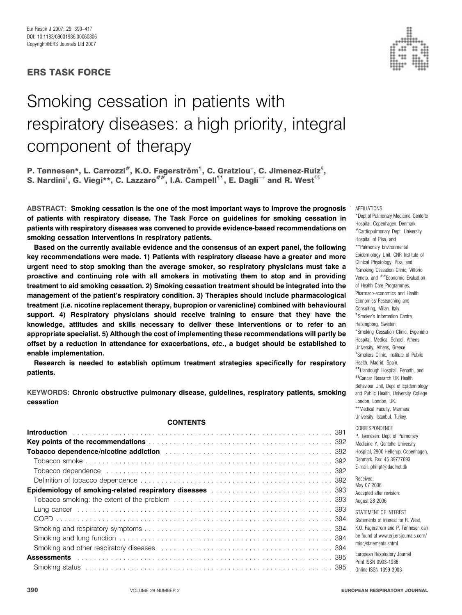## ERS TASK FORCE

# Smoking cessation in patients with respiratory diseases: a high priority, integral component of therapy

P. Tønnesen\*, L. Carrozzi<sup>#</sup>, K.O. Fagerström<sup>1</sup>, C. Gratziou<sup>+</sup>, C. Jimenez-Ruiz<sup>s</sup>, S. Nardini<sup> $i$ </sup>, G. Viegi\*\*, C. Lazzaro<sup>##</sup>, I.A. Campell<sup>11</sup>, E. Dagli<sup>++</sup> and R. West<sup>§§</sup>

ABSTRACT: Smoking cessation is the one of the most important ways to improve the prognosis of patients with respiratory disease. The Task Force on guidelines for smoking cessation in patients with respiratory diseases was convened to provide evidence-based recommendations on smoking cessation interventions in respiratory patients.

Based on the currently available evidence and the consensus of an expert panel, the following key recommendations were made. 1) Patients with respiratory disease have a greater and more urgent need to stop smoking than the average smoker, so respiratory physicians must take a proactive and continuing role with all smokers in motivating them to stop and in providing treatment to aid smoking cessation. 2) Smoking cessation treatment should be integrated into the management of the patient's respiratory condition. 3) Therapies should include pharmacological treatment (i.e. nicotine replacement therapy, bupropion or varenicline) combined with behavioural support. 4) Respiratory physicians should receive training to ensure that they have the knowledge, attitudes and skills necessary to deliver these interventions or to refer to an appropriate specialist. 5) Although the cost of implementing these recommendations will partly be offset by a reduction in attendance for exacerbations, etc., a budget should be established to enable implementation.

Research is needed to establish optimum treatment strategies specifically for respiratory patients.

KEYWORDS: Chronic obstructive pulmonary disease, guidelines, respiratory patients, smoking cessation

#### **CONTENTS**

| <b>Key points of the recommendations</b> entertainment of the series of the series of the series of the series of the series of the series of the series of the series of the series of the series of the series of the series of t |  |
|-------------------------------------------------------------------------------------------------------------------------------------------------------------------------------------------------------------------------------------|--|
|                                                                                                                                                                                                                                     |  |
|                                                                                                                                                                                                                                     |  |
| Tobacco dependence expansional contract to the contract of the contract of the contract of the contract of the contract of the contract of the contract of the contract of the contract of the contract of the contract of the      |  |
|                                                                                                                                                                                                                                     |  |
| <b>Epidemiology of smoking-related respiratory diseases manufacturers and separate set of smoking-related respirators</b>                                                                                                           |  |
|                                                                                                                                                                                                                                     |  |
|                                                                                                                                                                                                                                     |  |
|                                                                                                                                                                                                                                     |  |
|                                                                                                                                                                                                                                     |  |
|                                                                                                                                                                                                                                     |  |
| Smoking and other respiratory diseases entertainment contains and state and state and state and state and state                                                                                                                     |  |
|                                                                                                                                                                                                                                     |  |
|                                                                                                                                                                                                                                     |  |



\*Dept of Pulmonary Medicine, Gentofte Hospital, Copenhagen, Denmark. #Cardiopulmonary Dept, University Hospital of Pisa, and \*\*Pulmonary Environmental Epidemiology Unit, CNR Institute of Clinical Physiology, Pisa, and <sup>f</sup>Smoking Cessation Clinic, Vittorio Veneto, and  $##$ Economic Evaluation of Health Care Programmes, Pharmaco-economics and Health Economics Researching and Consulting, Milan, Italy. " Smoker's Information Centre, Helsingborg, Sweden. + Smoking Cessation Clinic, Evgenidio Hospital, Medical School, Athens University, Athens, Greece. <sup>§</sup>Smokers Clinic, Institute of Public Health, Madrid, Spain. ""Llandough Hospital, Penarth, and \$5Cancer Research UK Health Behaviour Unit, Dept of Epidemiology and Public Health, University College London, London, UK. ++Medical Faculty, Marmara University, Istanbul, Turkey. CORRESPONDENCE

**AFFILIATIONS** 

P. Tønnesen: Dept of Pulmonary Medicine Y, Gentofte University Hospital, 2900 Hellerup, Copenhagen, Denmark. Fax: 45 39777693 E-mail: philipt@dadlnet.dk

Received: May 07 2006 Accepted after revision: August 28 2006

STATEMENT OF INTEREST Statements of interest for R. West, K.O. Fagerström and P. Tønnesen can be found at www.erj.ersjournals.com/ misc/statements.shtml

European Respiratory Journal Print ISSN 0903-1936 Online ISSN 1399-3003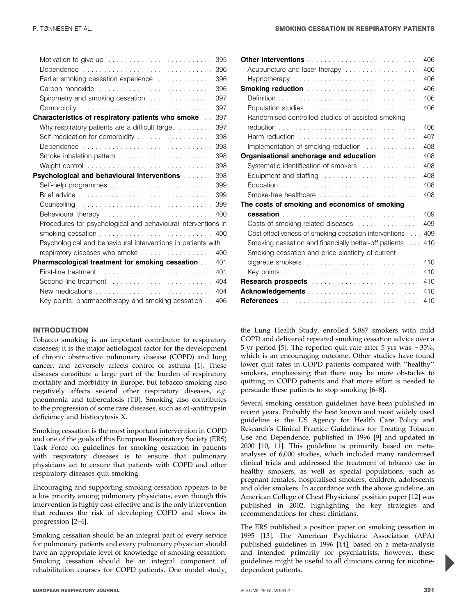|                                                                                | 395 |
|--------------------------------------------------------------------------------|-----|
|                                                                                | 396 |
| Earlier smoking cessation experience                                           | 396 |
| Carbon monoxide                                                                | 396 |
| Spirometry and smoking cessation                                               | 397 |
|                                                                                | 397 |
| Characteristics of respiratory patients who smoke                              | 397 |
| Why respiratory patients are a difficult target                                | 397 |
| Self-medication for comorbidity                                                | 398 |
| Dependence                                                                     | 398 |
|                                                                                | 398 |
|                                                                                | 398 |
| Psychological and behavioural interventions with all and proportional results. | 398 |
|                                                                                | 399 |
|                                                                                | 399 |
|                                                                                | 399 |
|                                                                                | 400 |
| Procedures for psychological and behavioural interventions in                  |     |
|                                                                                | 400 |
| Psychological and behavioural interventions in patients with                   |     |
| respiratory diseases who smoke                                                 | 400 |
| Pharmacological treatment for smoking cessation                                | 401 |
|                                                                                | 401 |
| Second-line treatment  404                                                     |     |
| New medications $\ldots \ldots \ldots \ldots \ldots \ldots \ldots \ldots$      | 404 |
| Key points: pharmacotherapy and smoking cessation                              | 406 |

Tobacco smoking is an important contributor to respiratory diseases; it is the major aetiological factor for the development of chronic obstructive pulmonary disease (COPD) and lung cancer, and adversely affects control of asthma [1]. These diseases constitute a large part of the burden of respiratory mortality and morbidity in Europe, but tobacco smoking also negatively affects several other respiratory diseases, e.g. pneumonia and tuberculosis (TB). Smoking also contributes to the progression of some rare diseases, such as  $\alpha$ 1-antitrypsin deficiency and histiocytosis X.

Smoking cessation is the most important intervention in COPD and one of the goals of this European Respiratory Society (ERS) Task Force on guidelines for smoking cessation in patients with respiratory diseases is to ensure that pulmonary physicians act to ensure that patients with COPD and other respiratory diseases quit smoking.

Encouraging and supporting smoking cessation appears to be a low priority among pulmonary physicians, even though this intervention is highly cost-effective and is the only intervention that reduces the risk of developing COPD and slows its progression [2–4].

Smoking cessation should be an integral part of every service for pulmonary patients and every pulmonary physician should have an appropriate level of knowledge of smoking cessation. Smoking cessation should be an integral component of rehabilitation courses for COPD patients. One model study,

| Other interventions <b>contained</b> and the contained and the contact of the contact of the contact of the contact of the contact of the contact of the contact of the contact of the contact of the contact of the contact of the | 406 |
|-------------------------------------------------------------------------------------------------------------------------------------------------------------------------------------------------------------------------------------|-----|
| Acupuncture and laser therapy                                                                                                                                                                                                       | 406 |
| $Hypnot$ herapy $\ldots \ldots \ldots \ldots \ldots \ldots \ldots \ldots \ldots \ldots$                                                                                                                                             | 406 |
| Smoking reduction <b>Constitution Smoking reduction Constitution Constitution</b>                                                                                                                                                   | 406 |
|                                                                                                                                                                                                                                     | 406 |
|                                                                                                                                                                                                                                     | 406 |
| Randomised controlled studies of assisted smoking                                                                                                                                                                                   |     |
|                                                                                                                                                                                                                                     | 406 |
| Harm reduction                                                                                                                                                                                                                      | 407 |
| Implementation of smoking reduction                                                                                                                                                                                                 | 408 |
| <b>Organisational anchorage and education <i>manufacture in the Creation</i></b>                                                                                                                                                    | 408 |
| Systematic identification of smokers                                                                                                                                                                                                | 408 |
| Equipment and staffing                                                                                                                                                                                                              | 408 |
|                                                                                                                                                                                                                                     | 408 |
| Smoke-free healthcare                                                                                                                                                                                                               | 408 |
| The costs of smoking and economics of smoking                                                                                                                                                                                       |     |
|                                                                                                                                                                                                                                     | 409 |
| Costs of smoking-related diseases                                                                                                                                                                                                   | 409 |
| Cost-effectiveness of smoking cessation interventions  409                                                                                                                                                                          |     |
| Smoking cessation and financially better-off patients                                                                                                                                                                               | 410 |
| Smoking cessation and price elasticity of current                                                                                                                                                                                   |     |
|                                                                                                                                                                                                                                     | 410 |
|                                                                                                                                                                                                                                     | 410 |
| Research prospects <b>Exercises Research prospects</b>                                                                                                                                                                              | 410 |
|                                                                                                                                                                                                                                     | 410 |
|                                                                                                                                                                                                                                     | 410 |

the Lung Health Study, enrolled 5,887 smokers with mild COPD and delivered repeated smoking cessation advice over a 5-yr period [5]. The reported quit rate after 5 yrs was  $\sim$ 35%, which is an encouraging outcome. Other studies have found lower quit rates in COPD patients compared with ''healthy'' smokers, emphasising that there may be more obstacles to quitting in COPD patients and that more effort is needed to persuade these patients to stop smoking [6–8].

Several smoking cessation guidelines have been published in recent years. Probably the best known and most widely used guideline is the US Agency for Health Care Policy and Research's Clinical Practice Guidelines for Treating Tobacco Use and Dependence, published in 1996 [9] and updated in 2000 [10, 11]. This guideline is primarily based on metaanalyses of 6,000 studies, which included many randomised clinical trials and addressed the treatment of tobacco use in healthy smokers, as well as special populations, such as pregnant females, hospitalised smokers, children, adolescents and older smokers. In accordance with the above guideline, an American College of Chest Physicians' position paper [12] was published in 2002, highlighting the key strategies and recommendations for chest clinicians.

The ERS published a position paper on smoking cessation in 1995 [13]. The American Psychiatric Association (APA) published guidelines in 1996 [14], based on a meta-analysis and intended primarily for psychiatrists; however, these guidelines might be useful to all clinicians caring for nicotinedependent patients.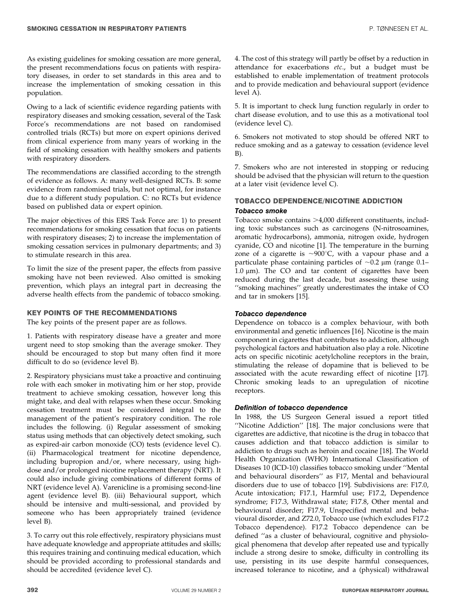As existing guidelines for smoking cessation are more general, the present recommendations focus on patients with respiratory diseases, in order to set standards in this area and to increase the implementation of smoking cessation in this population.

Owing to a lack of scientific evidence regarding patients with respiratory diseases and smoking cessation, several of the Task Force's recommendations are not based on randomised controlled trials (RCTs) but more on expert opinions derived from clinical experience from many years of working in the field of smoking cessation with healthy smokers and patients with respiratory disorders.

The recommendations are classified according to the strength of evidence as follows. A: many well-designed RCTs. B: some evidence from randomised trials, but not optimal, for instance due to a different study population. C: no RCTs but evidence based on published data or expert opinion.

The major objectives of this ERS Task Force are: 1) to present recommendations for smoking cessation that focus on patients with respiratory diseases; 2) to increase the implementation of smoking cessation services in pulmonary departments; and 3) to stimulate research in this area.

To limit the size of the present paper, the effects from passive smoking have not been reviewed. Also omitted is smoking prevention, which plays an integral part in decreasing the adverse health effects from the pandemic of tobacco smoking.

## KEY POINTS OF THE RECOMMENDATIONS

The key points of the present paper are as follows.

1. Patients with respiratory disease have a greater and more urgent need to stop smoking than the average smoker. They should be encouraged to stop but many often find it more difficult to do so (evidence level B).

2. Respiratory physicians must take a proactive and continuing role with each smoker in motivating him or her stop, provide treatment to achieve smoking cessation, however long this might take, and deal with relapses when these occur. Smoking cessation treatment must be considered integral to the management of the patient's respiratory condition. The role includes the following. (i) Regular assessment of smoking status using methods that can objectively detect smoking, such as expired-air carbon monoxide (CO) tests (evidence level C). (ii) Pharmacological treatment for nicotine dependence, including bupropion and/or, where necessary, using highdose and/or prolonged nicotine replacement therapy (NRT). It could also include giving combinations of different forms of NRT (evidence level A). Varenicline is a promising second-line agent (evidence level B). (iii) Behavioural support, which should be intensive and multi-sessional, and provided by someone who has been appropriately trained (evidence level B).

3. To carry out this role effectively, respiratory physicians must have adequate knowledge and appropriate attitudes and skills; this requires training and continuing medical education, which should be provided according to professional standards and should be accredited (evidence level C).

4. The cost of this strategy will partly be offset by a reduction in attendance for exacerbations etc., but a budget must be established to enable implementation of treatment protocols and to provide medication and behavioural support (evidence level A).

5. It is important to check lung function regularly in order to chart disease evolution, and to use this as a motivational tool (evidence level C).

6. Smokers not motivated to stop should be offered NRT to reduce smoking and as a gateway to cessation (evidence level B).

7. Smokers who are not interested in stopping or reducing should be advised that the physician will return to the question at a later visit (evidence level C).

## TOBACCO DEPENDENCE/NICOTINE ADDICTION Tobacco smoke

Tobacco smoke contains >4,000 different constituents, including toxic substances such as carcinogens (N-nitrosoamines, aromatic hydrocarbons), ammonia, nitrogen oxide, hydrogen cyanide, CO and nicotine [1]. The temperature in the burning zone of a cigarette is  $\sim$ 900°C, with a vapour phase and a particulate phase containing particles of  $\sim 0.2$  µm (range 0.1–  $1.0 \mu m$ ). The CO and tar content of cigarettes have been reduced during the last decade, but assessing these using ''smoking machines'' greatly underestimates the intake of CO and tar in smokers [15].

## Tobacco dependence

Dependence on tobacco is a complex behaviour, with both environmental and genetic influences [16]. Nicotine is the main component in cigarettes that contributes to addiction, although psychological factors and habituation also play a role. Nicotine acts on specific nicotinic acetylcholine receptors in the brain, stimulating the release of dopamine that is believed to be associated with the acute rewarding effect of nicotine [17]. Chronic smoking leads to an upregulation of nicotine receptors.

## Definition of tobacco dependence

In 1988, the US Surgeon General issued a report titled ''Nicotine Addiction'' [18]. The major conclusions were that cigarettes are addictive, that nicotine is the drug in tobacco that causes addiction and that tobacco addiction is similar to addiction to drugs such as heroin and cocaine [18]. The World Health Organization (WHO) International Classification of Diseases 10 (ICD-10) classifies tobacco smoking under ''Mental and behavioural disorders'' as F17, Mental and behavioural disorders due to use of tobacco [19]. Subdivisions are: F17.0, Acute intoxication; F17.1, Harmful use; F17.2, Dependence syndrome; F17.3, Withdrawal state; F17.8, Other mental and behavioural disorder; F17.9, Unspecified mental and behavioural disorder, and Z72.0, Tobacco use (which excludes F17.2 Tobacco dependence). F17.2 Tobacco dependence can be defined ''as a cluster of behavioural, cognitive and physiological phenomena that develop after repeated use and typically include a strong desire to smoke, difficulty in controlling its use, persisting in its use despite harmful consequences, increased tolerance to nicotine, and a (physical) withdrawal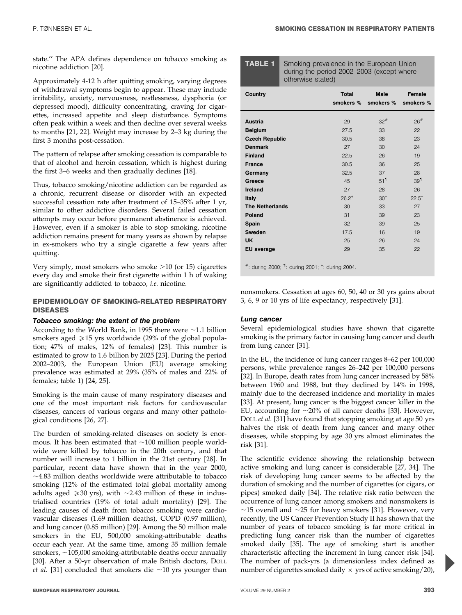during the period 2002–2003 (except where

state.'' The APA defines dependence on tobacco smoking as nicotine addiction [20].

Approximately 4-12 h after quitting smoking, varying degrees of withdrawal symptoms begin to appear. These may include irritability, anxiety, nervousness, restlessness, dysphoria (or depressed mood), difficulty concentrating, craving for cigarettes, increased appetite and sleep disturbance. Symptoms often peak within a week and then decline over several weeks to months [21, 22]. Weight may increase by 2–3 kg during the first 3 months post-cessation.

The pattern of relapse after smoking cessation is comparable to that of alcohol and heroin cessation, which is highest during the first 3–6 weeks and then gradually declines [18].

Thus, tobacco smoking/nicotine addiction can be regarded as a chronic, recurrent disease or disorder with an expected successful cessation rate after treatment of 15–35% after 1 yr, similar to other addictive disorders. Several failed cessation attempts may occur before permanent abstinence is achieved. However, even if a smoker is able to stop smoking, nicotine addiction remains present for many years as shown by relapse in ex-smokers who try a single cigarette a few years after quitting.

Very simply, most smokers who smoke  $>10$  (or 15) cigarettes every day and smoke their first cigarette within 1 h of waking are significantly addicted to tobacco, i.e. nicotine.

## EPIDEMIOLOGY OF SMOKING-RELATED RESPIRATORY DISEASES

## Tobacco smoking: the extent of the problem

According to the World Bank, in 1995 there were  $\sim$ 1.1 billion smokers aged  $\geq 15$  yrs worldwide (29% of the global population; 47% of males, 12% of females) [23]. This number is estimated to grow to 1.6 billion by 2025 [23]. During the period 2002–2003, the European Union (EU) average smoking prevalence was estimated at 29% (35% of males and 22% of females; table 1) [24, 25].

Smoking is the main cause of many respiratory diseases and one of the most important risk factors for cardiovascular diseases, cancers of various organs and many other pathological conditions [26, 27].

The burden of smoking-related diseases on society is enormous. It has been estimated that  $\sim$ 100 million people worldwide were killed by tobacco in the 20th century, and that number will increase to 1 billion in the 21st century [28]. In particular, recent data have shown that in the year 2000,  $\sim$ 4.83 million deaths worldwide were attributable to tobacco smoking (12% of the estimated total global mortality among adults aged  $\geq 30$  yrs), with  $\sim$ 2.43 million of these in industrialised countries (19% of total adult mortality) [29]. The leading causes of death from tobacco smoking were cardiovascular diseases (1.69 million deaths), COPD (0.97 million), and lung cancer (0.85 million) [29]. Among the 50 million male smokers in the EU, 500,000 smoking-attributable deaths occur each year. At the same time, among 35 million female smokers,  $\sim$ 105,000 smoking-attributable deaths occur annually [30]. After a 50-yr observation of male British doctors, DOLL et al. [31] concluded that smokers die  $\sim$ 10 yrs younger than

| UUTUI WIJU JEULUUT     |                           |                          |                     |
|------------------------|---------------------------|--------------------------|---------------------|
| <b>Country</b>         | <b>Total</b><br>smokers % | <b>Male</b><br>smokers % | Female<br>smokers % |
| Austria                | 29                        | $32^{#}$                 | 26#                 |
| <b>Belgium</b>         | 27.5                      | 33                       | 22                  |
| <b>Czech Republic</b>  | 30.5                      | 38                       | 23                  |
| <b>Denmark</b>         | 27                        | 30                       | 24                  |
| <b>Finland</b>         | 22.5                      | 26                       | 19                  |
| <b>France</b>          | 30.5                      | 36                       | 25                  |
| Germany                | 32.5                      | 37                       | 28                  |
| Greece                 | 45                        | 51 <sup>1</sup>          | 39 <sup>1</sup>     |
| Ireland                | 27                        | 28                       | 26                  |
| <b>Italy</b>           | $26.2^{+}$                | $30^{+}$                 | $22.5^{+}$          |
| <b>The Netherlands</b> | 30                        | 33                       | 27                  |
| Poland                 | 31                        | 39                       | 23                  |
| Spain                  | 32                        | 39                       | 25                  |
| <b>Sweden</b>          | 17.5                      | 16                       | 19                  |
| <b>UK</b>              | 25                        | 26                       | 24                  |
| EU average             | 29                        | 35                       | 22                  |

**TABLE 1** Smoking prevalence in the European Union

otherwise stated)

#: during 2000; " : during 2001; <sup>+</sup> : during 2004.

nonsmokers. Cessation at ages 60, 50, 40 or 30 yrs gains about 3, 6, 9 or 10 yrs of life expectancy, respectively [31].

## Lung cancer

Several epidemiological studies have shown that cigarette smoking is the primary factor in causing lung cancer and death from lung cancer [31].

In the EU, the incidence of lung cancer ranges 8–62 per 100,000 persons, while prevalence ranges 26–242 per 100,000 persons [32]. In Europe, death rates from lung cancer increased by 58% between 1960 and 1988, but they declined by 14% in 1998, mainly due to the decreased incidence and mortality in males [33]. At present, lung cancer is the biggest cancer killer in the EU, accounting for  $\sim$ 20% of all cancer deaths [33]. However, DOLL et al. [31] have found that stopping smoking at age 50 yrs halves the risk of death from lung cancer and many other diseases, while stopping by age 30 yrs almost eliminates the risk [31].

The scientific evidence showing the relationship between active smoking and lung cancer is considerable [27, 34]. The risk of developing lung cancer seems to be affected by the duration of smoking and the number of cigarettes (or cigars, or pipes) smoked daily [34]. The relative risk ratio between the occurrence of lung cancer among smokers and nonsmokers is  $\sim$ 15 overall and  $\sim$ 25 for heavy smokers [31]. However, very recently, the US Cancer Prevention Study II has shown that the number of years of tobacco smoking is far more critical in predicting lung cancer risk than the number of cigarettes smoked daily [35]. The age of smoking start is another characteristic affecting the increment in lung cancer risk [34]. The number of pack-yrs (a dimensionless index defined as number of cigarettes smoked daily  $\times$  yrs of active smoking/20),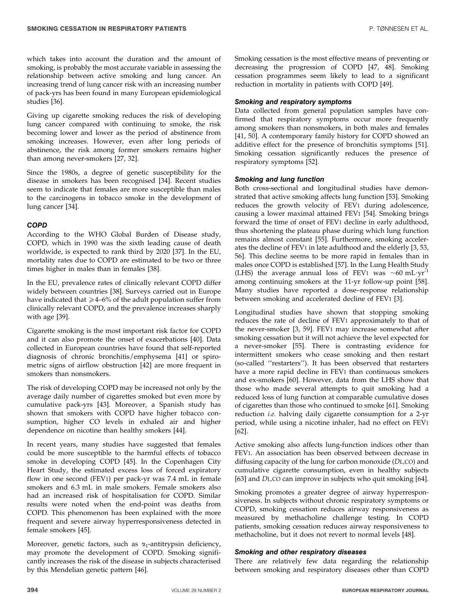which takes into account the duration and the amount of smoking, is probably the most accurate variable in assessing the relationship between active smoking and lung cancer. An increasing trend of lung cancer risk with an increasing number of pack-yrs has been found in many European epidemiological studies [36].

Giving up cigarette smoking reduces the risk of developing lung cancer compared with continuing to smoke, the risk becoming lower and lower as the period of abstinence from smoking increases. However, even after long periods of abstinence, the risk among former smokers remains higher than among never-smokers [27, 32].

Since the 1980s, a degree of genetic susceptibility for the disease in smokers has been recognised [34]. Recent studies seem to indicate that females are more susceptible than males to the carcinogens in tobacco smoke in the development of lung cancer [34].

## **COPD**

According to the WHO Global Burden of Disease study, COPD, which in 1990 was the sixth leading cause of death worldwide, is expected to rank third by 2020 [37]. In the EU, mortality rates due to COPD are estimated to be two or three times higher in males than in females [38].

In the EU, prevalence rates of clinically relevant COPD differ widely between countries [38]. Surveys carried out in Europe have indicated that  $\geq 4-6\%$  of the adult population suffer from clinically relevant COPD, and the prevalence increases sharply with age [39].

Cigarette smoking is the most important risk factor for COPD and it can also promote the onset of exacerbations [40]. Data collected in European countries have found that self-reported diagnosis of chronic bronchitis/emphysema [41] or spirometric signs of airflow obstruction [42] are more frequent in smokers than nonsmokers.

The risk of developing COPD may be increased not only by the average daily number of cigarettes smoked but even more by cumulative pack-yrs [43]. Moreover, a Spanish study has shown that smokers with COPD have higher tobacco consumption, higher CO levels in exhaled air and higher dependence on nicotine than healthy smokers [44].

In recent years, many studies have suggested that females could be more susceptible to the harmful effects of tobacco smoke in developing COPD [45]. In the Copenhagen City Heart Study, the estimated excess loss of forced expiratory flow in one second (FEV1) per pack-yr was 7.4 mL in female smokers and 6.3 mL in male smokers. Female smokers also had an increased risk of hospitalisation for COPD. Similar results were noted when the end-point was deaths from COPD. This phenomenon has been explained with the more frequent and severe airway hyperresponsiveness detected in female smokers [45].

Moreover, genetic factors, such as  $\alpha_1$ -antitrypsin deficiency, may promote the development of COPD. Smoking significantly increases the risk of the disease in subjects characterised by this Mendelian genetic pattern [46].

Smoking cessation is the most effective means of preventing or decreasing the progression of COPD [47, 48]. Smoking cessation programmes seem likely to lead to a significant reduction in mortality in patients with COPD [49].

#### Smoking and respiratory symptoms

Data collected from general population samples have confirmed that respiratory symptoms occur more frequently among smokers than nonsmokers, in both males and females [41, 50]. A contemporary family history for COPD showed an additive effect for the presence of bronchitis symptoms [51]. Smoking cessation significantly reduces the presence of respiratory symptoms [52].

#### Smoking and lung function

Both cross-sectional and longitudinal studies have demonstrated that active smoking affects lung function [53]. Smoking reduces the growth velocity of FEV1 during adolescence, causing a lower maximal attained FEV1 [54]. Smoking brings forward the time of onset of FEV1 decline in early adulthood, thus shortening the plateau phase during which lung function remains almost constant [55]. Furthermore, smoking accelerates the decline of FEV1 in late adulthood and the elderly [3, 53, 56]. This decline seems to be more rapid in females than in males once COPD is established [57]. In the Lung Health Study (LHS) the average annual loss of FEV1 was  $\sim 60 \text{ mL} \cdot \text{yr}^{-1}$ among continuing smokers at the 11-yr follow-up point [58]. Many studies have reported a dose–response relationship between smoking and accelerated decline of FEV1 [3].

Longitudinal studies have shown that stopping smoking reduces the rate of decline of FEV1 approximately to that of the never-smoker [3, 59]. FEV1 may increase somewhat after smoking cessation but it will not achieve the level expected for a never-smoker [55]. There is contrasting evidence for intermittent smokers who cease smoking and then restart (so-called ''restarters''). It has been observed that restarters have a more rapid decline in FEV1 than continuous smokers and ex-smokers [60]. However, data from the LHS show that those who made several attempts to quit smoking had a reduced loss of lung function at comparable cumulative doses of cigarettes than those who continued to smoke [61]. Smoking reduction i.e. halving daily cigarette consumption for a 2-yr period, while using a nicotine inhaler, had no effect on FEV1  $\overline{[}62]$ .

Active smoking also affects lung-function indices other than FEV1. An association has been observed between decrease in diffusing capacity of the lung for carbon monoxide (DL,CO) and cumulative cigarette consumption, even in healthy subjects [63] and DL,CO can improve in subjects who quit smoking [64].

Smoking promotes a greater degree of airway hyperresponsiveness. In subjects without chronic respiratory symptoms or COPD, smoking cessation reduces airway responsiveness as measured by methacholine challenge testing. In COPD patients, smoking cessation reduces airway responsiveness to methacholine, but it does not revert to normal levels [48].

#### Smoking and other respiratory diseases

There are relatively few data regarding the relationship between smoking and respiratory diseases other than COPD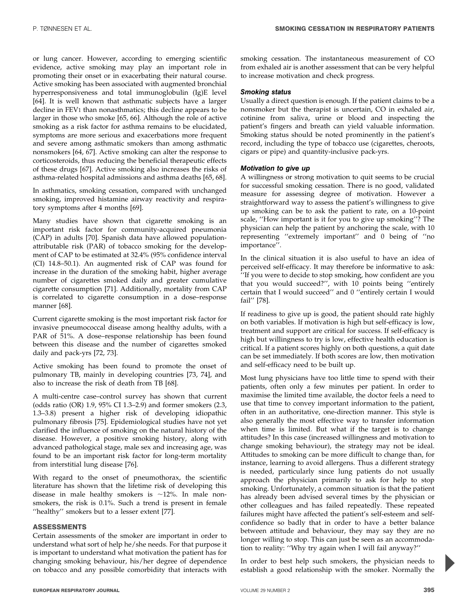or lung cancer. However, according to emerging scientific evidence, active smoking may play an important role in promoting their onset or in exacerbating their natural course. Active smoking has been associated with augmented bronchial hyperresponsiveness and total immunoglobulin (Ig)E level [64]. It is well known that asthmatic subjects have a larger decline in FEV1 than nonasthmatics; this decline appears to be larger in those who smoke [65, 66]. Although the role of active smoking as a risk factor for asthma remains to be elucidated, symptoms are more serious and exacerbations more frequent and severe among asthmatic smokers than among asthmatic nonsmokers [64, 67]. Active smoking can alter the response to corticosteroids, thus reducing the beneficial therapeutic effects of these drugs [67]. Active smoking also increases the risks of asthma-related hospital admissions and asthma deaths [65, 68].

In asthmatics, smoking cessation, compared with unchanged smoking, improved histamine airway reactivity and respiratory symptoms after 4 months [69].

Many studies have shown that cigarette smoking is an important risk factor for community-acquired pneumonia (CAP) in adults [70]. Spanish data have allowed populationattributable risk (PAR) of tobacco smoking for the development of CAP to be estimated at 32.4% (95% confidence interval (CI) 14.8–50.1). An augmented risk of CAP was found for increase in the duration of the smoking habit, higher average number of cigarettes smoked daily and greater cumulative cigarette consumption [71]. Additionally, mortality from CAP is correlated to cigarette consumption in a dose–response manner [68].

Current cigarette smoking is the most important risk factor for invasive pneumococcal disease among healthy adults, with a PAR of 51%. A dose–response relationship has been found between this disease and the number of cigarettes smoked daily and pack-yrs [72, 73].

Active smoking has been found to promote the onset of pulmonary TB, mainly in developing countries [73, 74], and also to increase the risk of death from TB [68].

A multi-centre case–control survey has shown that current (odds ratio (OR) 1.9, 95% CI 1.3–2.9) and former smokers (2.3, 1.3–3.8) present a higher risk of developing idiopathic pulmonary fibrosis [75]. Epidemiological studies have not yet clarified the influence of smoking on the natural history of the disease. However, a positive smoking history, along with advanced pathological stage, male sex and increasing age, was found to be an important risk factor for long-term mortality from interstitial lung disease [76].

With regard to the onset of pneumothorax, the scientific literature has shown that the lifetime risk of developing this disease in male healthy smokers is  $\sim$ 12%. In male nonsmokers, the risk is 0.1%. Such a trend is present in female ''healthy'' smokers but to a lesser extent [77].

## ASSESSMENTS

Certain assessments of the smoker are important in order to understand what sort of help he/she needs. For that purpose it is important to understand what motivation the patient has for changing smoking behaviour, his/her degree of dependence on tobacco and any possible comorbidity that interacts with smoking cessation. The instantaneous measurement of CO from exhaled air is another assessment that can be very helpful to increase motivation and check progress.

#### Smoking status

Usually a direct question is enough. If the patient claims to be a nonsmoker but the therapist is uncertain, CO in exhaled air, cotinine from saliva, urine or blood and inspecting the patient's fingers and breath can yield valuable information. Smoking status should be noted prominently in the patient's record, including the type of tobacco use (cigarettes, cheroots, cigars or pipe) and quantity-inclusive pack-yrs.

#### Motivation to give up

A willingness or strong motivation to quit seems to be crucial for successful smoking cessation. There is no good, validated measure for assessing degree of motivation. However a straightforward way to assess the patient's willingness to give up smoking can be to ask the patient to rate, on a 10-point scale, ''How important is it for you to give up smoking''? The physician can help the patient by anchoring the scale, with 10 representing ''extremely important'' and 0 being of ''no importance''.

In the clinical situation it is also useful to have an idea of perceived self-efficacy. It may therefore be informative to ask: ''If you were to decide to stop smoking, how confident are you that you would succeed?'', with 10 points being ''entirely certain that I would succeed'' and 0 ''entirely certain I would fail'' [78].

If readiness to give up is good, the patient should rate highly on both variables. If motivation is high but self-efficacy is low, treatment and support are critical for success. If self-efficacy is high but willingness to try is low, effective health education is critical. If a patient scores highly on both questions, a quit date can be set immediately. If both scores are low, then motivation and self-efficacy need to be built up.

Most lung physicians have too little time to spend with their patients, often only a few minutes per patient. In order to maximise the limited time available, the doctor feels a need to use that time to convey important information to the patient, often in an authoritative, one-direction manner. This style is also generally the most effective way to transfer information when time is limited. But what if the target is to change attitudes? In this case (increased willingness and motivation to change smoking behaviour), the strategy may not be ideal. Attitudes to smoking can be more difficult to change than, for instance, learning to avoid allergens. Thus a different strategy is needed, particularly since lung patients do not usually approach the physician primarily to ask for help to stop smoking. Unfortunately, a common situation is that the patient has already been advised several times by the physician or other colleagues and has failed repeatedly. These repeated failures might have affected the patient's self-esteem and selfconfidence so badly that in order to have a better balance between attitude and behaviour, they may say they are no longer willing to stop. This can just be seen as an accommodation to reality: ''Why try again when I will fail anyway?''

In order to best help such smokers, the physician needs to establish a good relationship with the smoker. Normally the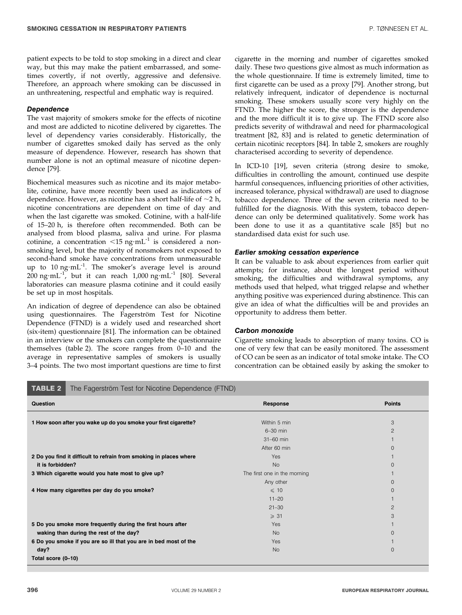patient expects to be told to stop smoking in a direct and clear way, but this may make the patient embarrassed, and sometimes covertly, if not overtly, aggressive and defensive. Therefore, an approach where smoking can be discussed in an unthreatening, respectful and emphatic way is required.

#### Dependence

The vast majority of smokers smoke for the effects of nicotine and most are addicted to nicotine delivered by cigarettes. The level of dependency varies considerably. Historically, the number of cigarettes smoked daily has served as the only measure of dependence. However, research has shown that number alone is not an optimal measure of nicotine dependence [79].

Biochemical measures such as nicotine and its major metabolite, cotinine, have more recently been used as indicators of dependence. However, as nicotine has a short half-life of  $\sim$ 2 h, nicotine concentrations are dependent on time of day and when the last cigarette was smoked. Cotinine, with a half-life of 15–20 h, is therefore often recommended. Both can be analysed from blood plasma, saliva and urine. For plasma cotinine, a concentration  $\leq 15$  ng·mL<sup>-1</sup> is considered a nonsmoking level, but the majority of nonsmokers not exposed to second-hand smoke have concentrations from unmeasurable up to 10 ng·mL<sup>-1</sup>. The smoker's average level is around  $200$  ng·mL<sup>-1</sup>, but it can reach 1,000 ng·mL<sup>-1</sup> [80]. Several laboratories can measure plasma cotinine and it could easily be set up in most hospitals.

An indication of degree of dependence can also be obtained using questionnaires. The Fagerström Test for Nicotine Dependence (FTND) is a widely used and researched short (six-item) questionnaire [81]. The information can be obtained in an interview or the smokers can complete the questionnaire themselves (table 2). The score ranges from 0–10 and the average in representative samples of smokers is usually 3–4 points. The two most important questions are time to first cigarette in the morning and number of cigarettes smoked daily. These two questions give almost as much information as the whole questionnaire. If time is extremely limited, time to first cigarette can be used as a proxy [79]. Another strong, but relatively infrequent, indicator of dependence is nocturnal smoking. These smokers usually score very highly on the FTND. The higher the score, the stronger is the dependence and the more difficult it is to give up. The FTND score also predicts severity of withdrawal and need for pharmacological treatment [82, 83] and is related to genetic determination of certain nicotinic receptors [84]. In table 2, smokers are roughly characterised according to severity of dependence.

In ICD-10 [19], seven criteria (strong desire to smoke, difficulties in controlling the amount, continued use despite harmful consequences, influencing priorities of other activities, increased tolerance, physical withdrawal) are used to diagnose tobacco dependence. Three of the seven criteria need to be fulfilled for the diagnosis. With this system, tobacco dependence can only be determined qualitatively. Some work has been done to use it as a quantitative scale [85] but no standardised data exist for such use.

#### Earlier smoking cessation experience

It can be valuable to ask about experiences from earlier quit attempts; for instance, about the longest period without smoking, the difficulties and withdrawal symptoms, any methods used that helped, what trigged relapse and whether anything positive was experienced during abstinence. This can give an idea of what the difficulties will be and provides an opportunity to address them better.

#### Carbon monoxide

Cigarette smoking leads to absorption of many toxins. CO is one of very few that can be easily monitored. The assessment of CO can be seen as an indicator of total smoke intake. The CO concentration can be obtained easily by asking the smoker to

| <b>TABLE 2</b><br>The Fagerström Test for Nicotine Dependence (FTND) |                              |                |  |
|----------------------------------------------------------------------|------------------------------|----------------|--|
| Question                                                             | Response                     | <b>Points</b>  |  |
| 1 How soon after you wake up do you smoke your first cigarette?      | Within 5 min                 | 3              |  |
|                                                                      | $6-30$ min                   | $\overline{c}$ |  |
|                                                                      | 31-60 min                    |                |  |
|                                                                      | After 60 min                 | 0              |  |
| 2 Do you find it difficult to refrain from smoking in places where   | Yes                          |                |  |
| it is forbidden?                                                     | <b>No</b>                    | 0              |  |
| 3 Which cigarette would you hate most to give up?                    | The first one in the morning |                |  |
|                                                                      | Any other                    | 0              |  |
| 4 How many cigarettes per day do you smoke?                          | $\leqslant$ 10               | 0              |  |
|                                                                      | $11 - 20$                    |                |  |
|                                                                      | $21 - 30$                    | 2              |  |
|                                                                      | $\geqslant$ 31               | 3              |  |
| 5 Do you smoke more frequently during the first hours after          | Yes                          |                |  |
| waking than during the rest of the day?                              | <b>No</b>                    | 0              |  |
| 6 Do you smoke if you are so ill that you are in bed most of the     | Yes                          |                |  |
| day?                                                                 | <b>No</b>                    | 0              |  |
| Total score (0-10)                                                   |                              |                |  |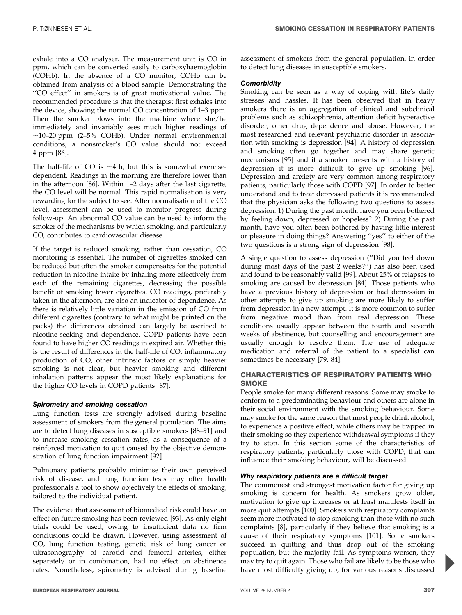exhale into a CO analyser. The measurement unit is CO in ppm, which can be converted easily to carboxyhaemoglobin (COHb). In the absence of a CO monitor, COHb can be obtained from analysis of a blood sample. Demonstrating the ''CO effect'' in smokers is of great motivational value. The recommended procedure is that the therapist first exhales into the device, showing the normal CO concentration of 1–3 ppm. Then the smoker blows into the machine where she/he immediately and invariably sees much higher readings of  $\sim$ 10–20 ppm (2–5% COHb). Under normal environmental conditions, a nonsmoker's CO value should not exceed 4 ppm [86].

The half-life of CO is  $\sim$ 4 h, but this is somewhat exercisedependent. Readings in the morning are therefore lower than in the afternoon [86]. Within 1–2 days after the last cigarette, the CO level will be normal. This rapid normalisation is very rewarding for the subject to see. After normalisation of the CO level, assessment can be used to monitor progress during follow-up. An abnormal CO value can be used to inform the smoker of the mechanisms by which smoking, and particularly CO, contributes to cardiovascular disease.

If the target is reduced smoking, rather than cessation, CO monitoring is essential. The number of cigarettes smoked can be reduced but often the smoker compensates for the potential reduction in nicotine intake by inhaling more effectively from each of the remaining cigarettes, decreasing the possible benefit of smoking fewer cigarettes. CO readings, preferably taken in the afternoon, are also an indicator of dependence. As there is relatively little variation in the emission of CO from different cigarettes (contrary to what might be printed on the packs) the differences obtained can largely be ascribed to nicotine-seeking and dependence. COPD patients have been found to have higher CO readings in expired air. Whether this is the result of differences in the half-life of CO, inflammatory production of CO, other intrinsic factors or simply heavier smoking is not clear, but heavier smoking and different inhalation patterns appear the most likely explanations for the higher CO levels in COPD patients [87].

## Spirometry and smoking cessation

Lung function tests are strongly advised during baseline assessment of smokers from the general population. The aims are to detect lung diseases in susceptible smokers [88–91] and to increase smoking cessation rates, as a consequence of a reinforced motivation to quit caused by the objective demonstration of lung function impairment [92].

Pulmonary patients probably minimise their own perceived risk of disease, and lung function tests may offer health professionals a tool to show objectively the effects of smoking, tailored to the individual patient.

The evidence that assessment of biomedical risk could have an effect on future smoking has been reviewed [93]. As only eight trials could be used, owing to insufficient data no firm conclusions could be drawn. However, using assessment of CO, lung function testing, genetic risk of lung cancer or ultrasonography of carotid and femoral arteries, either separately or in combination, had no effect on abstinence rates. Nonetheless, spirometry is advised during baseline assessment of smokers from the general population, in order to detect lung diseases in susceptible smokers.

## **Comorbidity**

Smoking can be seen as a way of coping with life's daily stresses and hassles. It has been observed that in heavy smokers there is an aggregation of clinical and subclinical problems such as schizophrenia, attention deficit hyperactive disorder, other drug dependence and abuse. However, the most researched and relevant psychiatric disorder in association with smoking is depression [94]. A history of depression and smoking often go together and may share genetic mechanisms [95] and if a smoker presents with a history of depression it is more difficult to give up smoking [96]. Depression and anxiety are very common among respiratory patients, particularly those with COPD [97]. In order to better understand and to treat depressed patients it is recommended that the physician asks the following two questions to assess depression. 1) During the past month, have you been bothered by feeling down, depressed or hopeless? 2) During the past month, have you often been bothered by having little interest or pleasure in doing things? Answering ''yes'' to either of the two questions is a strong sign of depression [98].

A single question to assess depression (''Did you feel down during most days of the past 2 weeks?'') has also been used and found to be reasonably valid [99]. About 25% of relapses to smoking are caused by depression [84]. Those patients who have a previous history of depression or had depression in other attempts to give up smoking are more likely to suffer from depression in a new attempt. It is more common to suffer from negative mood than from real depression. These conditions usually appear between the fourth and seventh weeks of abstinence, but counselling and encouragement are usually enough to resolve them. The use of adequate medication and referral of the patient to a specialist can sometimes be necessary [79, 84].

## CHARACTERISTICS OF RESPIRATORY PATIENTS WHO **SMOKE**

People smoke for many different reasons. Some may smoke to conform to a predominating behaviour and others are alone in their social environment with the smoking behaviour. Some may smoke for the same reason that most people drink alcohol, to experience a positive effect, while others may be trapped in their smoking so they experience withdrawal symptoms if they try to stop. In this section some of the characteristics of respiratory patients, particularly those with COPD, that can influence their smoking behaviour, will be discussed.

## Why respiratory patients are a difficult target

The commonest and strongest motivation factor for giving up smoking is concern for health. As smokers grow older, motivation to give up increases or at least manifests itself in more quit attempts [100]. Smokers with respiratory complaints seem more motivated to stop smoking than those with no such complaints [8], particularly if they believe that smoking is a cause of their respiratory symptoms [101]. Some smokers succeed in quitting and thus drop out of the smoking population, but the majority fail. As symptoms worsen, they may try to quit again. Those who fail are likely to be those who have most difficulty giving up, for various reasons discussed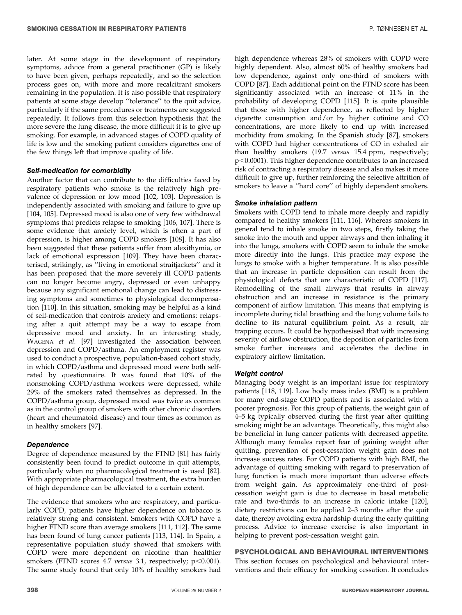later. At some stage in the development of respiratory symptoms, advice from a general practitioner (GP) is likely to have been given, perhaps repeatedly, and so the selection process goes on, with more and more recalcitrant smokers remaining in the population. It is also possible that respiratory patients at some stage develop ''tolerance'' to the quit advice, particularly if the same procedures or treatments are suggested repeatedly. It follows from this selection hypothesis that the more severe the lung disease, the more difficult it is to give up smoking. For example, in advanced stages of COPD quality of life is low and the smoking patient considers cigarettes one of the few things left that improve quality of life.

## Self-medication for comorbidity

Another factor that can contribute to the difficulties faced by respiratory patients who smoke is the relatively high prevalence of depression or low mood [102, 103]. Depression is independently associated with smoking and failure to give up [104, 105]. Depressed mood is also one of very few withdrawal symptoms that predicts relapse to smoking [106, 107]. There is some evidence that anxiety level, which is often a part of depression, is higher among COPD smokers [108]. It has also been suggested that these patients suffer from alexithymia, or lack of emotional expression [109]. They have been characterised, strikingly, as ''living in emotional straitjackets'' and it has been proposed that the more severely ill COPD patients can no longer become angry, depressed or even unhappy because any significant emotional change can lead to distressing symptoms and sometimes to physiological decompensation [110]. In this situation, smoking may be helpful as a kind of self-medication that controls anxiety and emotions: relapsing after a quit attempt may be a way to escape from depressive mood and anxiety. In an interesting study, WAGENA et al. [97] investigated the association between depression and COPD/asthma. An employment register was used to conduct a prospective, population-based cohort study, in which COPD/asthma and depressed mood were both selfrated by questionnaire. It was found that 10% of the nonsmoking COPD/asthma workers were depressed, while 29% of the smokers rated themselves as depressed. In the COPD/asthma group, depressed mood was twice as common as in the control group of smokers with other chronic disorders (heart and rheumatoid disease) and four times as common as in healthy smokers [97].

## Dependence

Degree of dependence measured by the FTND [81] has fairly consistently been found to predict outcome in quit attempts, particularly when no pharmacological treatment is used [82]. With appropriate pharmacological treatment, the extra burden of high dependence can be alleviated to a certain extent.

The evidence that smokers who are respiratory, and particularly COPD, patients have higher dependence on tobacco is relatively strong and consistent. Smokers with COPD have a higher FTND score than average smokers [111, 112]. The same has been found of lung cancer patients [113, 114]. In Spain, a representative population study showed that smokers with COPD were more dependent on nicotine than healthier smokers (FTND scores 4.7 versus 3.1, respectively;  $p<0.001$ ). The same study found that only 10% of healthy smokers had

high dependence whereas 28% of smokers with COPD were highly dependent. Also, almost 60% of healthy smokers had low dependence, against only one-third of smokers with COPD [87]. Each additional point on the FTND score has been significantly associated with an increase of 11% in the probability of developing COPD [115]. It is quite plausible that those with higher dependence, as reflected by higher cigarette consumption and/or by higher cotinine and CO concentrations, are more likely to end up with increased morbidity from smoking. In the Spanish study [87], smokers with COPD had higher concentrations of CO in exhaled air than healthy smokers (19.7 versus 15.4 ppm, respectively;  $p<0.0001$ ). This higher dependence contributes to an increased risk of contracting a respiratory disease and also makes it more difficult to give up, further reinforcing the selective attrition of smokers to leave a ''hard core'' of highly dependent smokers.

## Smoke inhalation pattern

Smokers with COPD tend to inhale more deeply and rapidly compared to healthy smokers [111, 116]. Whereas smokers in general tend to inhale smoke in two steps, firstly taking the smoke into the mouth and upper airways and then inhaling it into the lungs, smokers with COPD seem to inhale the smoke more directly into the lungs. This practice may expose the lungs to smoke with a higher temperature. It is also possible that an increase in particle deposition can result from the physiological defects that are characteristic of COPD [117]. Remodelling of the small airways that results in airway obstruction and an increase in resistance is the primary component of airflow limitation. This means that emptying is incomplete during tidal breathing and the lung volume fails to decline to its natural equilibrium point. As a result, air trapping occurs. It could be hypothesised that with increasing severity of airflow obstruction, the deposition of particles from smoke further increases and accelerates the decline in expiratory airflow limitation.

## Weight control

Managing body weight is an important issue for respiratory patients [118, 119]. Low body mass index (BMI) is a problem for many end-stage COPD patients and is associated with a poorer prognosis. For this group of patients, the weight gain of 4–5 kg typically observed during the first year after quitting smoking might be an advantage. Theoretically, this might also be beneficial in lung cancer patients with decreased appetite. Although many females report fear of gaining weight after quitting, prevention of post-cessation weight gain does not increase success rates. For COPD patients with high BMI, the advantage of quitting smoking with regard to preservation of lung function is much more important than adverse effects from weight gain. As approximately one-third of postcessation weight gain is due to decrease in basal metabolic rate and two-thirds to an increase in caloric intake [120], dietary restrictions can be applied 2–3 months after the quit date, thereby avoiding extra hardship during the early quitting process. Advice to increase exercise is also important in helping to prevent post-cessation weight gain.

## PSYCHOLOGICAL AND BEHAVIOURAL INTERVENTIONS

This section focuses on psychological and behavioural interventions and their efficacy for smoking cessation. It concludes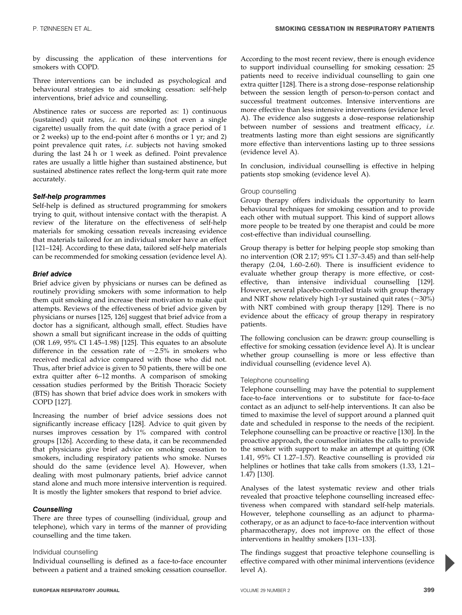by discussing the application of these interventions for smokers with COPD.

Three interventions can be included as psychological and behavioural strategies to aid smoking cessation: self-help interventions, brief advice and counselling.

Abstinence rates or success are reported as: 1) continuous (sustained) quit rates, i.e. no smoking (not even a single cigarette) usually from the quit date (with a grace period of 1 or 2 weeks) up to the end-point after 6 months or 1 yr; and 2) point prevalence quit rates, i.e. subjects not having smoked during the last 24 h or 1 week as defined. Point prevalence rates are usually a little higher than sustained abstinence, but sustained abstinence rates reflect the long-term quit rate more accurately.

## Self-help programmes

Self-help is defined as structured programming for smokers trying to quit, without intensive contact with the therapist. A review of the literature on the effectiveness of self-help materials for smoking cessation reveals increasing evidence that materials tailored for an individual smoker have an effect [121–124]. According to these data, tailored self-help materials can be recommended for smoking cessation (evidence level A).

## Brief advice

Brief advice given by physicians or nurses can be defined as routinely providing smokers with some information to help them quit smoking and increase their motivation to make quit attempts. Reviews of the effectiveness of brief advice given by physicians or nurses [125, 126] suggest that brief advice from a doctor has a significant, although small, effect. Studies have shown a small but significant increase in the odds of quitting (OR 1.69, 95% CI 1.45–1.98) [125]. This equates to an absolute difference in the cessation rate of  $\sim$ 2.5% in smokers who received medical advice compared with those who did not. Thus, after brief advice is given to 50 patients, there will be one extra quitter after 6–12 months. A comparison of smoking cessation studies performed by the British Thoracic Society (BTS) has shown that brief advice does work in smokers with COPD [127].

Increasing the number of brief advice sessions does not significantly increase efficacy [128]. Advice to quit given by nurses improves cessation by 1% compared with control groups [126]. According to these data, it can be recommended that physicians give brief advice on smoking cessation to smokers, including respiratory patients who smoke. Nurses should do the same (evidence level A). However, when dealing with most pulmonary patients, brief advice cannot stand alone and much more intensive intervention is required. It is mostly the lighter smokers that respond to brief advice.

## **Counselling**

There are three types of counselling (individual, group and telephone), which vary in terms of the manner of providing counselling and the time taken.

## Individual counselling

Individual counselling is defined as a face-to-face encounter between a patient and a trained smoking cessation counsellor. According to the most recent review, there is enough evidence to support individual counselling for smoking cessation: 25 patients need to receive individual counselling to gain one extra quitter [128]. There is a strong dose–response relationship between the session length of person-to-person contact and successful treatment outcomes. Intensive interventions are more effective than less intensive interventions (evidence level A). The evidence also suggests a dose–response relationship between number of sessions and treatment efficacy, i.e. treatments lasting more than eight sessions are significantly more effective than interventions lasting up to three sessions (evidence level A).

In conclusion, individual counselling is effective in helping patients stop smoking (evidence level A).

## Group counselling

Group therapy offers individuals the opportunity to learn behavioural techniques for smoking cessation and to provide each other with mutual support. This kind of support allows more people to be treated by one therapist and could be more cost-effective than individual counselling.

Group therapy is better for helping people stop smoking than no intervention (OR 2.17; 95% CI 1.37–3.45) and than self-help therapy (2.04, 1.60–2.60). There is insufficient evidence to evaluate whether group therapy is more effective, or costeffective, than intensive individual counselling [129]. However, several placebo-controlled trials with group therapy and NRT show relatively high 1-yr sustained quit rates  $(\sim 30\%)$ with NRT combined with group therapy [129]. There is no evidence about the efficacy of group therapy in respiratory patients.

The following conclusion can be drawn: group counselling is effective for smoking cessation (evidence level A). It is unclear whether group counselling is more or less effective than individual counselling (evidence level A).

## Telephone counselling

Telephone counselling may have the potential to supplement face-to-face interventions or to substitute for face-to-face contact as an adjunct to self-help interventions. It can also be timed to maximise the level of support around a planned quit date and scheduled in response to the needs of the recipient. Telephone counselling can be proactive or reactive [130]. In the proactive approach, the counsellor initiates the calls to provide the smoker with support to make an attempt at quitting (OR 1.41, 95% CI 1.27–1.57). Reactive counselling is provided via helplines or hotlines that take calls from smokers (1.33, 1.21– 1.47) [130].

Analyses of the latest systematic review and other trials revealed that proactive telephone counselling increased effectiveness when compared with standard self-help materials. However, telephone counselling as an adjunct to pharmacotherapy, or as an adjunct to face-to-face intervention without pharmacotherapy, does not improve on the effect of those interventions in healthy smokers [131–133].

The findings suggest that proactive telephone counselling is effective compared with other minimal interventions (evidence level A).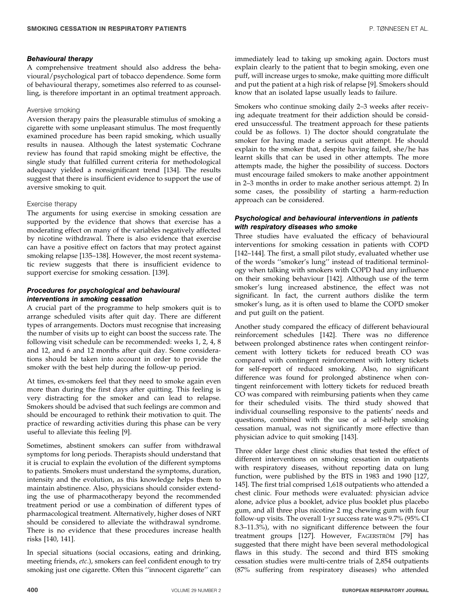## Behavioural therapy

A comprehensive treatment should also address the behavioural/psychological part of tobacco dependence. Some form of behavioural therapy, sometimes also referred to as counselling, is therefore important in an optimal treatment approach.

## Aversive smoking

Aversion therapy pairs the pleasurable stimulus of smoking a cigarette with some unpleasant stimulus. The most frequently examined procedure has been rapid smoking, which usually results in nausea. Although the latest systematic Cochrane review has found that rapid smoking might be effective, the single study that fulfilled current criteria for methodological adequacy yielded a nonsignificant trend [134]. The results suggest that there is insufficient evidence to support the use of aversive smoking to quit.

## Exercise therapy

The arguments for using exercise in smoking cessation are supported by the evidence that shows that exercise has a moderating effect on many of the variables negatively affected by nicotine withdrawal. There is also evidence that exercise can have a positive effect on factors that may protect against smoking relapse [135–138]. However, the most recent systematic review suggests that there is insufficient evidence to support exercise for smoking cessation. [139].

## Procedures for psychological and behavioural interventions in smoking cessation

A crucial part of the programme to help smokers quit is to arrange scheduled visits after quit day. There are different types of arrangements. Doctors must recognise that increasing the number of visits up to eight can boost the success rate. The following visit schedule can be recommended: weeks 1, 2, 4, 8 and 12, and 6 and 12 months after quit day. Some considerations should be taken into account in order to provide the smoker with the best help during the follow-up period.

At times, ex-smokers feel that they need to smoke again even more than during the first days after quitting. This feeling is very distracting for the smoker and can lead to relapse. Smokers should be advised that such feelings are common and should be encouraged to rethink their motivation to quit. The practice of rewarding activities during this phase can be very useful to alleviate this feeling [9].

Sometimes, abstinent smokers can suffer from withdrawal symptoms for long periods. Therapists should understand that it is crucial to explain the evolution of the different symptoms to patients. Smokers must understand the symptoms, duration, intensity and the evolution, as this knowledge helps them to maintain abstinence. Also, physicians should consider extending the use of pharmacotherapy beyond the recommended treatment period or use a combination of different types of pharmacological treatment. Alternatively, higher doses of NRT should be considered to alleviate the withdrawal syndrome. There is no evidence that these procedures increase health risks [140, 141].

In special situations (social occasions, eating and drinking, meeting friends, etc.), smokers can feel confident enough to try smoking just one cigarette. Often this ''innocent cigarette'' can immediately lead to taking up smoking again. Doctors must explain clearly to the patient that to begin smoking, even one puff, will increase urges to smoke, make quitting more difficult and put the patient at a high risk of relapse [9]. Smokers should know that an isolated lapse usually leads to failure.

Smokers who continue smoking daily 2–3 weeks after receiving adequate treatment for their addiction should be considered unsuccessful. The treatment approach for these patients could be as follows. 1) The doctor should congratulate the smoker for having made a serious quit attempt. He should explain to the smoker that, despite having failed, she/he has learnt skills that can be used in other attempts. The more attempts made, the higher the possibility of success. Doctors must encourage failed smokers to make another appointment in 2–3 months in order to make another serious attempt. 2) In some cases, the possibility of starting a harm-reduction approach can be considered.

## Psychological and behavioural interventions in patients with respiratory diseases who smoke

Three studies have evaluated the efficacy of behavioural interventions for smoking cessation in patients with COPD [142–144]. The first, a small pilot study, evaluated whether use of the words ''smoker's lung'' instead of traditional terminology when talking with smokers with COPD had any influence on their smoking behaviour [142]. Although use of the term smoker's lung increased abstinence, the effect was not significant. In fact, the current authors dislike the term smoker's lung, as it is often used to blame the COPD smoker and put guilt on the patient.

Another study compared the efficacy of different behavioural reinforcement schedules [142]. There was no difference between prolonged abstinence rates when contingent reinforcement with lottery tickets for reduced breath CO was compared with contingent reinforcement with lottery tickets for self-report of reduced smoking. Also, no significant difference was found for prolonged abstinence when contingent reinforcement with lottery tickets for reduced breath CO was compared with reimbursing patients when they came for their scheduled visits. The third study showed that individual counselling responsive to the patients' needs and questions, combined with the use of a self-help smoking cessation manual, was not significantly more effective than physician advice to quit smoking [143].

Three older large chest clinic studies that tested the effect of different interventions on smoking cessation in outpatients with respiratory diseases, without reporting data on lung function, were published by the BTS in 1983 and 1990 [127, 145]. The first trial comprised 1,618 outpatients who attended a chest clinic. Four methods were evaluated: physician advice alone, advice plus a booklet, advice plus booklet plus placebo gum, and all three plus nicotine 2 mg chewing gum with four follow-up visits. The overall 1-yr success rate was 9.7% (95% CI 8.3–11.3%), with no significant difference between the four treatment groups [127]. However, FAGERSTRÖM [79] has suggested that there might have been several methodological flaws in this study. The second and third BTS smoking cessation studies were multi-centre trials of 2,854 outpatients (87% suffering from respiratory diseases) who attended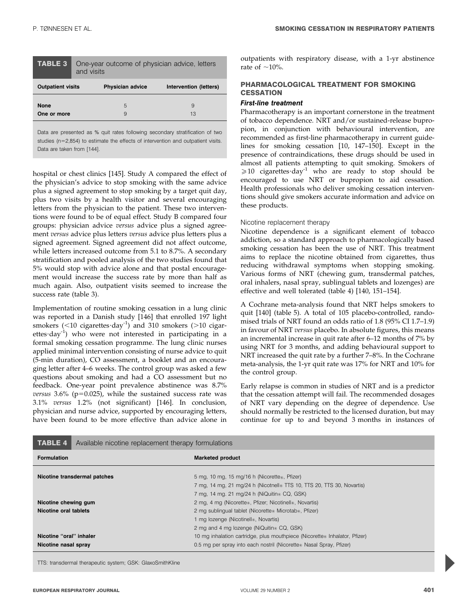| TABLE 3<br>One-year outcome of physician advice, letters<br>and visits |                          |  |
|------------------------------------------------------------------------|--------------------------|--|
| <b>Physician advice</b>                                                | Intervention (letters)   |  |
| 5<br>9                                                                 | 9<br>13                  |  |
|                                                                        | <b>Outpatient visits</b> |  |

Data are presented as % quit rates following secondary stratification of two studies (n=2,854) to estimate the effects of intervention and outpatient visits. Data are taken from [144].

hospital or chest clinics [145]. Study A compared the effect of the physician's advice to stop smoking with the same advice plus a signed agreement to stop smoking by a target quit day, plus two visits by a health visitor and several encouraging letters from the physician to the patient. These two interventions were found to be of equal effect. Study B compared four groups: physician advice versus advice plus a signed agreement versus advice plus letters versus advice plus letters plus a signed agreement. Signed agreement did not affect outcome, while letters increased outcome from 5.1 to 8.7%. A secondary stratification and pooled analysis of the two studies found that 5% would stop with advice alone and that postal encouragement would increase the success rate by more than half as much again. Also, outpatient visits seemed to increase the success rate (table 3).

Implementation of routine smoking cessation in a lung clinic was reported in a Danish study [146] that enrolled 197 light smokers (<10 cigarettes day<sup>-1</sup>) and 310 smokers (>10 cigarettes  $day^{-1}$ ) who were not interested in participating in a formal smoking cessation programme. The lung clinic nurses applied minimal intervention consisting of nurse advice to quit (5-min duration), CO assessment, a booklet and an encouraging letter after 4–6 weeks. The control group was asked a few questions about smoking and had a CO assessment but no feedback. One-year point prevalence abstinence was 8.7% versus  $3.6\%$  (p=0.025), while the sustained success rate was 3.1% versus 1.2% (not significant) [146]. In conclusion, physician and nurse advice, supported by encouraging letters, have been found to be more effective than advice alone in outpatients with respiratory disease, with a 1-yr abstinence rate of  $\sim$ 10%.

## PHARMACOLOGICAL TREATMENT FOR SMOKING **CESSATION**

#### First-line treatment

Pharmacotherapy is an important cornerstone in the treatment of tobacco dependence. NRT and/or sustained-release bupropion, in conjunction with behavioural intervention, are recommended as first-line pharmacotherapy in current guidelines for smoking cessation [10, 147–150]. Except in the presence of contraindications, these drugs should be used in almost all patients attempting to quit smoking. Smokers of  $\geq 10$  cigarettes day<sup>-1</sup> who are ready to stop should be encouraged to use NRT or bupropion to aid cessation. Health professionals who deliver smoking cessation interventions should give smokers accurate information and advice on these products.

#### Nicotine replacement therapy

Nicotine dependence is a significant element of tobacco addiction, so a standard approach to pharmacologically based smoking cessation has been the use of NRT. This treatment aims to replace the nicotine obtained from cigarettes, thus reducing withdrawal symptoms when stopping smoking. Various forms of NRT (chewing gum, transdermal patches, oral inhalers, nasal spray, sublingual tablets and lozenges) are effective and well tolerated (table 4) [140, 151–154].

A Cochrane meta-analysis found that NRT helps smokers to quit [140] (table 5). A total of 105 placebo-controlled, randomised trials of NRT found an odds ratio of 1.8 (95% CI 1.7–1.9) in favour of NRT versus placebo. In absolute figures, this means an incremental increase in quit rate after 6–12 months of 7% by using NRT for 3 months, and adding behavioural support to NRT increased the quit rate by a further 7–8%. In the Cochrane meta-analysis, the 1-yr quit rate was 17% for NRT and 10% for the control group.

Early relapse is common in studies of NRT and is a predictor that the cessation attempt will fail. The recommended dosages of NRT vary depending on the degree of dependence. Use should normally be restricted to the licensed duration, but may continue for up to and beyond 3 months in instances of

| <b>TABLE 4</b>          | Available nicotine replacement therapy formulations |                                                                           |  |
|-------------------------|-----------------------------------------------------|---------------------------------------------------------------------------|--|
| <b>Formulation</b>      |                                                     | <b>Marketed product</b>                                                   |  |
|                         | Nicotine transdermal patches                        | 5 mg, 10 mg, 15 mg/16 h (Nicorette®, Pfizer)                              |  |
|                         |                                                     | 7 mg, 14 mg, 21 mg/24 h (Nicotnell® TTS 10, TTS 20, TTS 30, Novartis)     |  |
|                         |                                                     | 7 mg, 14 mg, 21 mg/24 h (NiQuitin® CQ, GSK)                               |  |
| Nicotine chewing gum    |                                                     | 2 mg, 4 mg (Nicorette®, Pfizer; Nicotinell®, Novartis)                    |  |
| Nicotine oral tablets   |                                                     | 2 mg sublingual tablet (Nicorette® Microtab®, Pfizer)                     |  |
|                         |                                                     | 1 mg lozenge (Nicotinell®, Novartis)                                      |  |
|                         |                                                     | 2 mg and 4 mg lozenge (NiQuitin® CQ, GSK)                                 |  |
| Nicotine "oral" inhaler |                                                     | 10 mg inhalation cartridge, plus mouthpiece (Nicorette hnhalator, Pfizer) |  |
| Nicotine nasal spray    |                                                     | 0.5 mg per spray into each nostril (Nicorette® Nasal Spray, Pfizer)       |  |

TTS: transdermal therapeutic system; GSK: GlaxoSmithKline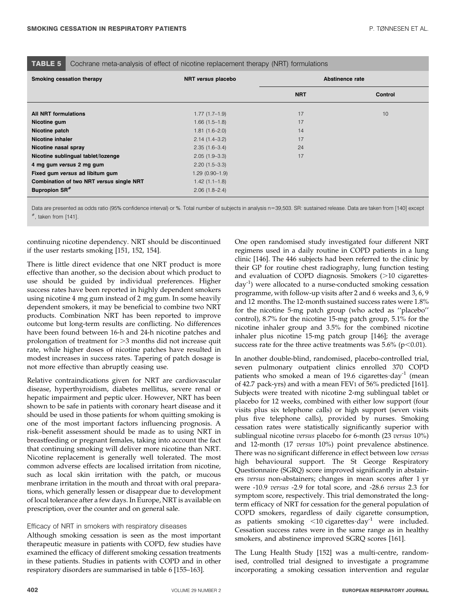|    | ٠<br>a mar |  |  |
|----|------------|--|--|
| w. |            |  |  |
|    |            |  |  |

Cochrane meta-analysis of effect of nicotine replacement therapy (NRT) formulations

| Smoking cessation therapy                | NRT versus placebo |            | Abstinence rate |
|------------------------------------------|--------------------|------------|-----------------|
|                                          |                    | <b>NRT</b> | Control         |
| <b>All NRT formulations</b>              | $1.77(1.7-1.9)$    | 17         | 10              |
| Nicotine gum                             | $1.66(1.5-1.8)$    | 17         |                 |
| Nicotine patch                           | $1.81(1.6-2.0)$    | 14         |                 |
| <b>Nicotine inhaler</b>                  | $2.14(1.4-3.2)$    | 17         |                 |
| Nicotine nasal spray                     | $2.35(1.6-3.4)$    | 24         |                 |
| Nicotine sublingual tablet/lozenge       | $2.05(1.9-3.3)$    | 17         |                 |
| 4 mg gum versus 2 mg gum                 | $2.20(1.5-3.3)$    |            |                 |
| Fixed gum versus ad libitum gum          | $1.29(0.90-1.9)$   |            |                 |
| Combination of two NRT versus single NRT | $1.42(1.1-1.8)$    |            |                 |
| Bupropion SR <sup>#</sup>                | $2.06(1.8-2.4)$    |            |                 |

Data are presented as odds ratio (95% confidence interval) or %. Total number of subjects in analysis n=39,503. SR: sustained release. Data are taken from [140] except  $*$ , taken from [141].

continuing nicotine dependency. NRT should be discontinued if the user restarts smoking [151, 152, 154].

There is little direct evidence that one NRT product is more effective than another, so the decision about which product to use should be guided by individual preferences. Higher success rates have been reported in highly dependent smokers using nicotine 4 mg gum instead of 2 mg gum. In some heavily dependent smokers, it may be beneficial to combine two NRT products. Combination NRT has been reported to improve outcome but long-term results are conflicting. No differences have been found between 16-h and 24-h nicotine patches and prolongation of treatment for  $>3$  months did not increase quit rate, while higher doses of nicotine patches have resulted in modest increases in success rates. Tapering of patch dosage is not more effective than abruptly ceasing use.

Relative contraindications given for NRT are cardiovascular disease, hyperthyroidism, diabetes mellitus, severe renal or hepatic impairment and peptic ulcer. However, NRT has been shown to be safe in patients with coronary heart disease and it should be used in those patients for whom quitting smoking is one of the most important factors influencing prognosis. A risk–benefit assessment should be made as to using NRT in breastfeeding or pregnant females, taking into account the fact that continuing smoking will deliver more nicotine than NRT. Nicotine replacement is generally well tolerated. The most common adverse effects are localised irritation from nicotine, such as local skin irritation with the patch, or mucous menbrane irritation in the mouth and throat with oral preparations, which generally lessen or disappear due to development of local tolerance after a few days. In Europe, NRT is available on prescription, over the counter and on general sale.

#### Efficacy of NRT in smokers with respiratory diseases

Although smoking cessation is seen as the most important therapeutic measure in patients with COPD, few studies have examined the efficacy of different smoking cessation treatments in these patients. Studies in patients with COPD and in other respiratory disorders are summarised in table 6 [155–163].

One open randomised study investigated four different NRT regimens used in a daily routine in COPD patients in a lung clinic [146]. The 446 subjects had been referred to the clinic by their GP for routine chest radiography, lung function testing and evaluation of COPD diagnosis. Smokers  $(>10$  cigarettes.  $day^{-1}$ ) were allocated to a nurse-conducted smoking cessation programme, with follow-up visits after 2 and 6 weeks and 3, 6, 9 and 12 months. The 12-month sustained success rates were 1.8% for the nicotine 5-mg patch group (who acted as ''placebo'' control), 8.7% for the nicotine 15-mg patch group, 5.1% for the nicotine inhaler group and 3.5% for the combined nicotine inhaler plus nicotine 15-mg patch group [146]; the average success rate for the three active treatments was  $5.6\%$  (p $<$ 0.01).

In another double-blind, randomised, placebo-controlled trial, seven pulmonary outpatient clinics enrolled 370 COPD patients who smoked a mean of 19.6 cigarettes  $day^{-1}$  (mean of 42.7 pack-yrs) and with a mean FEV1 of 56% predicted [161]. Subjects were treated with nicotine 2-mg sublingual tablet or placebo for 12 weeks, combined with either low support (four visits plus six telephone calls) or high support (seven visits plus five telephone calls), provided by nurses. Smoking cessation rates were statistically significantly superior with sublingual nicotine versus placebo for 6-month (23 versus 10%) and 12-month (17 versus 10%) point prevalence abstinence. There was no significant difference in effect between low versus high behavioural support. The St George Respiratory Questionnaire (SGRQ) score improved significantly in abstainers versus non-abstainers; changes in mean scores after 1 yr were -10.9 versus -2.9 for total score, and -28.6 versus 2.3 for symptom score, respectively. This trial demonstrated the longterm efficacy of NRT for cessation for the general population of COPD smokers, regardless of daily cigarette consumption, as patients smoking  $\leq 10$  cigarettes day<sup>-1</sup> were included. Cessation success rates were in the same range as in healthy smokers, and abstinence improved SGRQ scores [161].

The Lung Health Study [152] was a multi-centre, randomised, controlled trial designed to investigate a programme incorporating a smoking cessation intervention and regular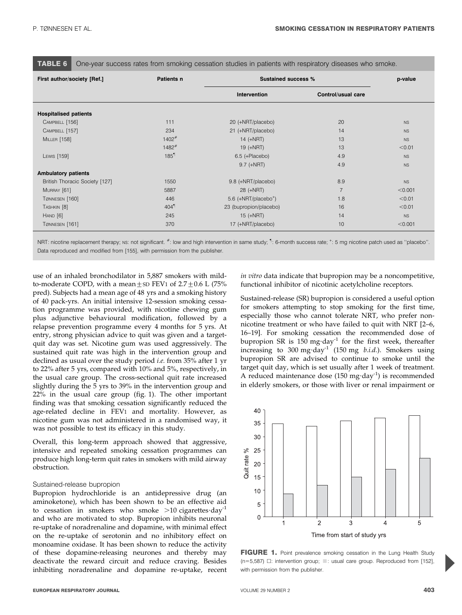TABLE 6 One-year success rates from smoking cessation studies in patients with respiratory diseases who smoke.

| First author/society [Ref.]    | Patients n          | <b>Sustained success %</b>         |                    | p-value   |
|--------------------------------|---------------------|------------------------------------|--------------------|-----------|
|                                |                     | Intervention                       | Control/usual care |           |
| <b>Hospitalised patients</b>   |                     |                                    |                    |           |
| CAMPBELL [156]                 | 111                 | 20 (+NRT/placebo)                  | 20                 | <b>NS</b> |
| CAMPBELL [157]                 | 234                 | 21 (+NRT/placebo)                  | 14                 | <b>NS</b> |
| <b>MILLER</b> [158]            | $1402$ <sup>#</sup> | $14 (+NRT)$                        | 13                 | <b>NS</b> |
|                                | $1482$ <sup>#</sup> | 19 (+NRT)                          | 13                 | < 0.01    |
| LEWIS [159]                    | 185 <sup>1</sup>    | 6.5 (+Placebo)                     | 4.9                | <b>NS</b> |
|                                |                     | $9.7$ (+NRT)                       | 4.9                | <b>NS</b> |
| <b>Ambulatory patients</b>     |                     |                                    |                    |           |
| British Thoracic Society [127] | 1550                | 9.8 (+NRT/placebo)                 | 8.9                | <b>NS</b> |
| MURRAY [61]                    | 5887                | 28 (+NRT)                          | $\overline{7}$     | < 0.001   |
| TØNNESEN [160]                 | 446                 | $5.6$ (+NRT/placebo <sup>+</sup> ) | 1.8                | < 0.01    |
| TASHKIN [8]                    | $404$ <sup>1</sup>  | 23 (bupropion/placebo)             | 16                 | < 0.01    |
| HAND [6]                       | 245                 | $15 (+NRT)$                        | 14                 | <b>NS</b> |
| TØNNESEN [161]                 | 370                 | 17 (+NRT/placebo)                  | 10                 | < 0.001   |

NRT: nicotine replacement therapy; Ns: not significant. #: low and high intervention in same study; 1: 6-month success rate; +: 5 mg nicotine patch used as "placebo". Data reproduced and modified from [155], with permission from the publisher.

use of an inhaled bronchodilator in 5,887 smokers with mildto-moderate COPD, with a mean  $\pm$  SD FEV1 of 2.7  $\pm$  0.6 L (75% pred). Subjects had a mean age of 48 yrs and a smoking history of 40 pack-yrs. An initial intensive 12-session smoking cessation programme was provided, with nicotine chewing gum plus adjunctive behavioural modification, followed by a relapse prevention programme every 4 months for 5 yrs. At entry, strong physician advice to quit was given and a targetquit day was set. Nicotine gum was used aggressively. The sustained quit rate was high in the intervention group and declined as usual over the study period i.e. from 35% after 1 yr to 22% after 5 yrs, compared with 10% and 5%, respectively, in the usual care group. The cross-sectional quit rate increased slightly during the 5 yrs to 39% in the intervention group and 22% in the usual care group (fig. 1). The other important finding was that smoking cessation significantly reduced the age-related decline in FEV1 and mortality. However, as nicotine gum was not administered in a randomised way, it was not possible to test its efficacy in this study.

Overall, this long-term approach showed that aggressive, intensive and repeated smoking cessation programmes can produce high long-term quit rates in smokers with mild airway obstruction.

#### Sustained-release bupropion

Bupropion hydrochloride is an antidepressive drug (an aminoketone), which has been shown to be an effective aid to cessation in smokers who smoke  $>10$  cigarettes day<sup>-1</sup> and who are motivated to stop. Bupropion inhibits neuronal re-uptake of noradrenaline and dopamine, with minimal effect on the re-uptake of serotonin and no inhibitory effect on monoamine oxidase. It has been shown to reduce the activity of these dopamine-releasing neurones and thereby may deactivate the reward circuit and reduce craving. Besides inhibiting noradrenaline and dopamine re-uptake, recent in vitro data indicate that bupropion may be a noncompetitive, functional inhibitor of nicotinic acetylcholine receptors.

Sustained-release (SR) bupropion is considered a useful option for smokers attempting to stop smoking for the first time, especially those who cannot tolerate NRT, who prefer nonnicotine treatment or who have failed to quit with NRT [2–6, 16–19]. For smoking cessation the recommended dose of bupropion SR is  $150 \text{ mg day}^{-1}$  for the first week, thereafter increasing to 300 mg·day<sup>-1</sup> (150 mg *b.i.d.*). Smokers using bupropion SR are advised to continue to smoke until the target quit day, which is set usually after 1 week of treatment. A reduced maintenance dose  $(150 \text{ mg day}^{-1})$  is recommended in elderly smokers, or those with liver or renal impairment or



FIGURE 1. Point prevalence smoking cessation in the Lung Health Study (n=5,587)  $\Box$ : intervention group;  $\Box$ : usual care group. Reproduced from [152], with permission from the publisher.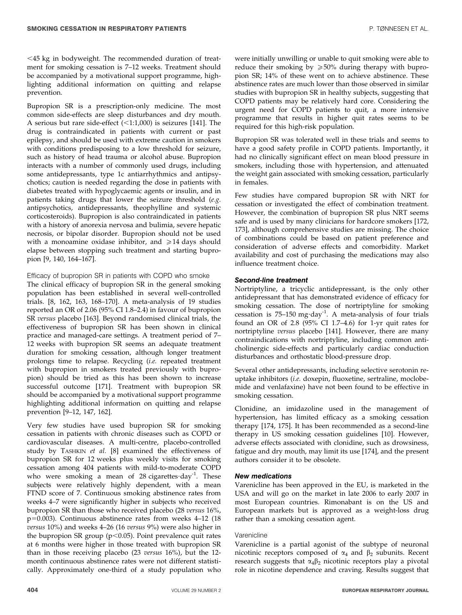Bupropion SR is a prescription-only medicine. The most common side-effects are sleep disturbances and dry mouth. A serious but rare side-effect  $(<1:1,000)$  is seizures [141]. The drug is contraindicated in patients with current or past epilepsy, and should be used with extreme caution in smokers with conditions predisposing to a low threshold for seizure, such as history of head trauma or alcohol abuse. Bupropion interacts with a number of commonly used drugs, including some antidepressants, type 1c antiarrhythmics and antipsychotics; caution is needed regarding the dose in patients with diabetes treated with hypoglycaemic agents or insulin, and in patients taking drugs that lower the seizure threshold (e.g. antipsychotics, antidepressants, theophylline and systemic corticosteroids). Bupropion is also contraindicated in patients with a history of anorexia nervosa and bulimia, severe hepatic necrosis, or bipolar disorder. Bupropion should not be used with a monoamine oxidase inhibitor, and  $\geq 14$  days should elapse between stopping such treatment and starting bupropion [9, 140, 164–167].

Efficacy of bupropion SR in patients with COPD who smoke

The clinical efficacy of bupropion SR in the general smoking population has been established in several well-controlled trials. [8, 162, 163, 168–170]. A meta-analysis of 19 studies reported an OR of 2.06 (95% CI 1.8–2.4) in favour of bupropion SR versus placebo [163]. Beyond randomised clinical trials, the effectiveness of bupropion SR has been shown in clinical practice and managed-care settings. A treatment period of 7– 12 weeks with bupropion SR seems an adequate treatment duration for smoking cessation, although longer treatment prolongs time to relapse. Recycling (i.e. repeated treatment with bupropion in smokers treated previously with bupropion) should be tried as this has been shown to increase successful outcome [171]. Treatment with bupropion SR should be accompanied by a motivational support programme highlighting additional information on quitting and relapse prevention [9–12, 147, 162].

Very few studies have used bupropion SR for smoking cessation in patients with chronic diseases such as COPD or cardiovascular diseases. A multi-centre, placebo-controlled study by TASHKIN et al. [8] examined the effectiveness of bupropion SR for 12 weeks plus weekly visits for smoking cessation among 404 patients with mild-to-moderate COPD who were smoking a mean of 28 cigarettes  $day^{-1}$ . These subjects were relatively highly dependent, with a mean FTND score of 7. Continuous smoking abstinence rates from weeks 4–7 were significantly higher in subjects who received bupropion SR than those who received placebo (28 versus 16%,  $p=0.003$ ). Continuous abstinence rates from weeks 4–12 (18) versus 10%) and weeks 4–26 (16 versus 9%) were also higher in the bupropion SR group ( $p$ <0.05). Point prevalence quit rates at 6 months were higher in those treated with bupropion SR than in those receiving placebo (23 versus 16%), but the 12 month continuous abstinence rates were not different statistically. Approximately one-third of a study population who

were initially unwilling or unable to quit smoking were able to reduce their smoking by  $\geq 50\%$  during therapy with bupropion SR; 14% of these went on to achieve abstinence. These abstinence rates are much lower than those observed in similar studies with bupropion SR in healthy subjects, suggesting that COPD patients may be relatively hard core. Considering the urgent need for COPD patients to quit, a more intensive programme that results in higher quit rates seems to be required for this high-risk population.

Bupropion SR was tolerated well in these trials and seems to have a good safety profile in COPD patients. Importantly, it had no clinically significant effect on mean blood pressure in smokers, including those with hypertension, and attenuated the weight gain associated with smoking cessation, particularly in females.

Few studies have compared bupropion SR with NRT for cessation or investigated the effect of combination treatment. However, the combination of bupropion SR plus NRT seems safe and is used by many clinicians for hardcore smokers [172, 173], although comprehensive studies are missing. The choice of combinations could be based on patient preference and consideration of adverse effects and comorbidity. Market availability and cost of purchasing the medications may also influence treatment choice.

## Second-line treatment

Nortriptyline, a tricyclic antidepressant, is the only other antidepressant that has demonstrated evidence of efficacy for smoking cessation. The dose of nortriptyline for smoking cessation is 75-150 mg·day<sup>-1</sup>. A meta-analysis of four trials found an OR of 2.8 (95% CI 1.7–4.6) for 1-yr quit rates for nortriptyline versus placebo [141]. However, there are many contraindications with nortriptyline, including common anticholinergic side-effects and particularly cardiac conduction disturbances and orthostatic blood-pressure drop.

Several other antidepressants, including selective serotonin reuptake inhibitors (i.e. doxepin, fluoxetine, sertraline, moclobemide and venlafaxine) have not been found to be effective in smoking cessation.

Clonidine, an imidazoline used in the management of hypertension, has limited efficacy as a smoking cessation therapy [174, 175]. It has been recommended as a second-line therapy in US smoking cessation guidelines [10]. However, adverse effects associated with clonidine, such as drowsiness, fatigue and dry mouth, may limit its use [174], and the present authors consider it to be obsolete.

## New medications

Varenicline has been approved in the EU, is marketed in the USA and will go on the market in late 2006 to early 2007 in most European countries. Rimonabant is on the US and European markets but is approved as a weight-loss drug rather than a smoking cessation agent.

#### Varenicline

Varenicline is a partial agonist of the subtype of neuronal nicotinic receptors composed of  $\alpha_4$  and  $\beta_2$  subunits. Recent research suggests that  $\alpha_4\beta_2$  nicotinic receptors play a pivotal role in nicotine dependence and craving. Results suggest that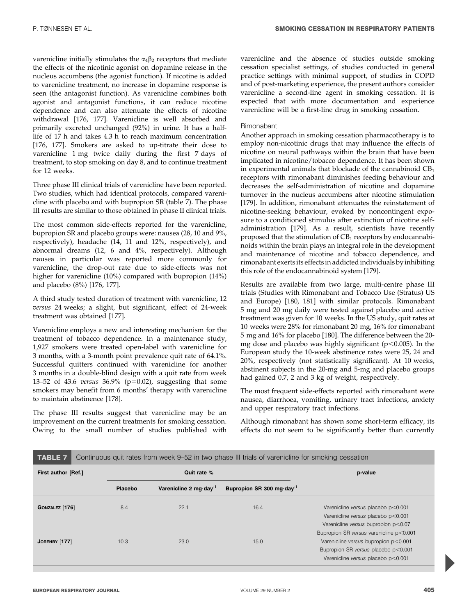varenicline initially stimulates the  $\alpha_4\beta_2$  receptors that mediate the effects of the nicotinic agonist on dopamine release in the nucleus accumbens (the agonist function). If nicotine is added to varenicline treatment, no increase in dopamine response is seen (the antagonist function). As varenicline combines both agonist and antagonist functions, it can reduce nicotine dependence and can also attenuate the effects of nicotine withdrawal [176, 177]. Varenicline is well absorbed and primarily excreted unchanged (92%) in urine. It has a halflife of 17 h and takes 4.3 h to reach maximum concentration [176, 177]. Smokers are asked to up-titrate their dose to varenicline 1 mg twice daily during the first 7 days of treatment, to stop smoking on day 8, and to continue treatment for 12 weeks.

Three phase III clinical trials of varenicline have been reported. Two studies, which had identical protocols, compared varenicline with placebo and with bupropion SR (table 7). The phase III results are similar to those obtained in phase II clinical trials.

The most common side-effects reported for the varenicline, bupropion SR and placebo groups were: nausea (28, 10 and 9%, respectively), headache (14, 11 and 12%, respectively), and abnormal dreams (12, 6 and 4%, respectively). Although nausea in particular was reported more commonly for varenicline, the drop-out rate due to side-effects was not higher for varenicline (10%) compared with bupropion (14%) and placebo (8%) [176, 177].

A third study tested duration of treatment with varenicline, 12 versus 24 weeks; a slight, but significant, effect of 24-week treatment was obtained [177].

Varenicline employs a new and interesting mechanism for the treatment of tobacco dependence. In a maintenance study, 1,927 smokers were treated open-label with varenicline for 3 months, with a 3-month point prevalence quit rate of 64.1%. Successful quitters continued with varenicline for another 3 months in a double-blind design with a quit rate from week 13–52 of 43.6 versus  $36.9\%$  (p=0.02), suggesting that some smokers may benefit from 6 months' therapy with varenicline to maintain abstinence [178].

The phase III results suggest that varenicline may be an improvement on the current treatments for smoking cessation. Owing to the small number of studies published with varenicline and the absence of studies outside smoking cessation specialist settings, of studies conducted in general practice settings with minimal support, of studies in COPD and of post-marketing experience, the present authors consider varenicline a second-line agent in smoking cessation. It is expected that with more documentation and experience varenicline will be a first-line drug in smoking cessation.

## Rimonabant

Another approach in smoking cessation pharmacotherapy is to employ non-nicotinic drugs that may influence the effects of nicotine on neural pathways within the brain that have been implicated in nicotine/tobacco dependence. It has been shown in experimental animals that blockade of the cannabinoid  $CB<sub>1</sub>$ receptors with rimonabant diminishes feeding behaviour and decreases the self-administration of nicotine and dopamine turnover in the nucleus accumbens after nicotine stimulation [179]. In addition, rimonabant attenuates the reinstatement of nicotine-seeking behaviour, evoked by noncontingent exposure to a conditioned stimulus after extinction of nicotine selfadministration [179]. As a result, scientists have recently proposed that the stimulation of  $CB<sub>1</sub>$  receptors by endocannabinoids within the brain plays an integral role in the development and maintenance of nicotine and tobacco dependence, and rimonabant exerts its effects in addicted individuals by inhibiting this role of the endocannabinoid system [179].

Results are available from two large, multi-centre phase III trials (Studies with Rimonabant and Tobacco Use (Stratus) US and Europe) [180, 181] with similar protocols. Rimonabant 5 mg and 20 mg daily were tested against placebo and active treatment was given for 10 weeks. In the US study, quit rates at 10 weeks were 28% for rimonabant 20 mg, 16% for rimonabant 5 mg and 16% for placebo [180]. The difference between the 20 mg dose and placebo was highly significant ( $p$ <0.005). In the European study the 10-week abstinence rates were 25, 24 and 20%, respectively (not statistically significant). At 10 weeks, abstinent subjects in the 20-mg and 5-mg and placebo groups had gained 0.7, 2 and 3 kg of weight, respectively.

The most frequent side-effects reported with rimonabant were nausea, diarrhoea, vomiting, urinary tract infections, anxiety and upper respiratory tract infections.

Although rimonabant has shown some short-term efficacy, its effects do not seem to be significantly better than currently

| First author [Ref.]   |         | Quit rate %                        |                                       | p-value                                 |
|-----------------------|---------|------------------------------------|---------------------------------------|-----------------------------------------|
|                       | Placebo | Varenicline 2 mg day <sup>-1</sup> | Bupropion SR 300 mg day <sup>-1</sup> |                                         |
| <b>GONZALEZ</b> [176] | 8.4     | 22.1                               | 16.4                                  | Varenicline versus placebo p<0.001      |
|                       |         |                                    |                                       | Varenicline versus placebo p<0.001      |
|                       |         |                                    |                                       | Varenicline versus bupropion p<0.07     |
|                       |         |                                    |                                       | Bupropion SR versus varenicline p<0.001 |
| JORENBY [177]         | 10.3    | 23.0                               | 15.0                                  | Varenicline versus bupropion p<0.001    |
|                       |         |                                    |                                       | Bupropion SR versus placebo p<0.001     |
|                       |         |                                    |                                       | Varenicline versus placebo p<0.001      |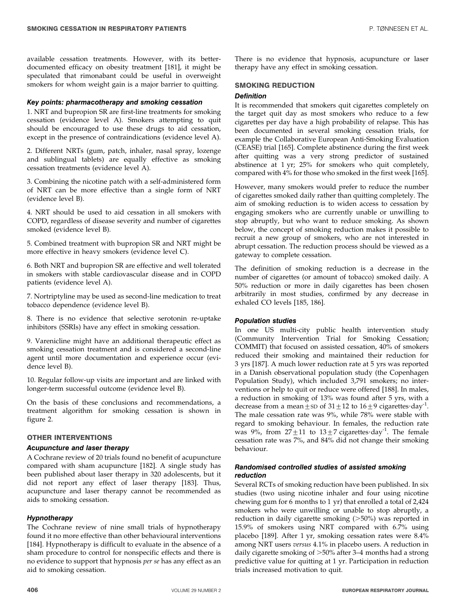available cessation treatments. However, with its betterdocumented efficacy on obesity treatment [181], it might be speculated that rimonabant could be useful in overweight smokers for whom weight gain is a major barrier to quitting.

#### Key points: pharmacotherapy and smoking cessation

1. NRT and bupropion SR are first-line treatments for smoking cessation (evidence level A). Smokers attempting to quit should be encouraged to use these drugs to aid cessation, except in the presence of contraindications (evidence level A).

2. Different NRTs (gum, patch, inhaler, nasal spray, lozenge and sublingual tablets) are equally effective as smoking cessation treatments (evidence level A).

3. Combining the nicotine patch with a self-administered form of NRT can be more effective than a single form of NRT (evidence level B).

4. NRT should be used to aid cessation in all smokers with COPD, regardless of disease severity and number of cigarettes smoked (evidence level B).

5. Combined treatment with bupropion SR and NRT might be more effective in heavy smokers (evidence level C).

6. Both NRT and bupropion SR are effective and well tolerated in smokers with stable cardiovascular disease and in COPD patients (evidence level A).

7. Nortriptyline may be used as second-line medication to treat tobacco dependence (evidence level B).

8. There is no evidence that selective serotonin re-uptake inhibitors (SSRIs) have any effect in smoking cessation.

9. Varenicline might have an additional therapeutic effect as smoking cessation treatment and is considered a second-line agent until more documentation and experience occur (evidence level B).

10. Regular follow-up visits are important and are linked with longer-term successful outcome (evidence level B).

On the basis of these conclusions and recommendations, a treatment algorithm for smoking cessation is shown in figure 2.

## OTHER INTERVENTIONS

#### Acupuncture and laser therapy

A Cochrane review of 20 trials found no benefit of acupuncture compared with sham acupuncture [182]. A single study has been published about laser therapy in 320 adolescents, but it did not report any effect of laser therapy [183]. Thus, acupuncture and laser therapy cannot be recommended as aids to smoking cessation.

## Hypnotherapy

The Cochrane review of nine small trials of hypnotherapy found it no more effective than other behavioural interventions [184]. Hypnotherapy is difficult to evaluate in the absence of a sham procedure to control for nonspecific effects and there is no evidence to support that hypnosis per se has any effect as an aid to smoking cessation.

There is no evidence that hypnosis, acupuncture or laser therapy have any effect in smoking cessation.

## SMOKING REDUCTION

#### **Definition**

It is recommended that smokers quit cigarettes completely on the target quit day as most smokers who reduce to a few cigarettes per day have a high probability of relapse. This has been documented in several smoking cessation trials, for example the Collaborative European Anti-Smoking Evaluation (CEASE) trial [165]. Complete abstinence during the first week after quitting was a very strong predictor of sustained abstinence at 1 yr; 25% for smokers who quit completely, compared with 4% for those who smoked in the first week [165].

However, many smokers would prefer to reduce the number of cigarettes smoked daily rather than quitting completely. The aim of smoking reduction is to widen access to cessation by engaging smokers who are currently unable or unwilling to stop abruptly, but who want to reduce smoking. As shown below, the concept of smoking reduction makes it possible to recruit a new group of smokers, who are not interested in abrupt cessation. The reduction process should be viewed as a gateway to complete cessation.

The definition of smoking reduction is a decrease in the number of cigarettes (or amount of tobacco) smoked daily. A 50% reduction or more in daily cigarettes has been chosen arbitrarily in most studies, confirmed by any decrease in exhaled CO levels [185, 186].

## Population studies

In one US multi-city public health intervention study (Community Intervention Trial for Smoking Cessation; COMMIT) that focused on assisted cessation, 40% of smokers reduced their smoking and maintained their reduction for 3 yrs [187]. A much lower reduction rate at 5 yrs was reported in a Danish observational population study (the Copenhagen Population Study), which included 3,791 smokers; no interventions or help to quit or reduce were offered [188]. In males, a reduction in smoking of 13% was found after 5 yrs, with a decrease from a mean  $\pm$  SD of 31  $\pm$  12 to 16  $\pm$  9 cigarettes day<sup>-1</sup>. The male cessation rate was 9%, while 78% were stable with regard to smoking behaviour. In females, the reduction rate was 9%, from  $27 \pm 11$  to  $13 \pm 7$  cigarettes day<sup>-1</sup>. The female cessation rate was 7%, and 84% did not change their smoking behaviour.

## Randomised controlled studies of assisted smoking reduction

Several RCTs of smoking reduction have been published. In six studies (two using nicotine inhaler and four using nicotine chewing gum for 6 months to 1 yr) that enrolled a total of 2,424 smokers who were unwilling or unable to stop abruptly, a reduction in daily cigarette smoking  $($ >50%) was reported in 15.9% of smokers using NRT compared with 6.7% using placebo [189]. After 1 yr, smoking cessation rates were 8.4% among NRT users versus 4.1% in placebo users. A reduction in daily cigarette smoking of  $>50\%$  after 3–4 months had a strong predictive value for quitting at 1 yr. Participation in reduction trials increased motivation to quit.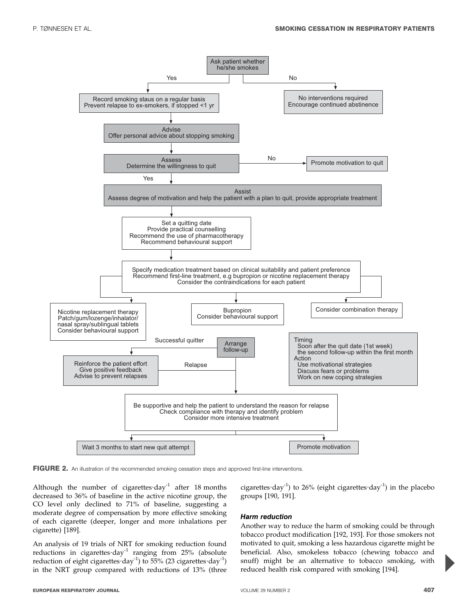

FIGURE 2. An illustration of the recommended smoking cessation steps and approved first-line interventions.

Although the number of cigarettes  $day^{-1}$  after 18 months decreased to 36% of baseline in the active nicotine group, the CO level only declined to 71% of baseline, suggesting a moderate degree of compensation by more effective smoking of each cigarette (deeper, longer and more inhalations per cigarette) [189].

An analysis of 19 trials of NRT for smoking reduction found reductions in cigarettes  $day^{-1}$  ranging from 25% (absolute reduction of eight cigarettes  $day^{-1}$ ) to 55% (23 cigarettes  $day^{-1}$ ) in the NRT group compared with reductions of 13% (three

cigarettes  $day^{-1}$ ) to 26% (eight cigarettes  $day^{-1}$ ) in the placebo groups [190, 191].

## Harm reduction

Another way to reduce the harm of smoking could be through tobacco product modification [192, 193]. For those smokers not motivated to quit, smoking a less hazardous cigarette might be beneficial. Also, smokeless tobacco (chewing tobacco and snuff) might be an alternative to tobacco smoking, with reduced health risk compared with smoking [194].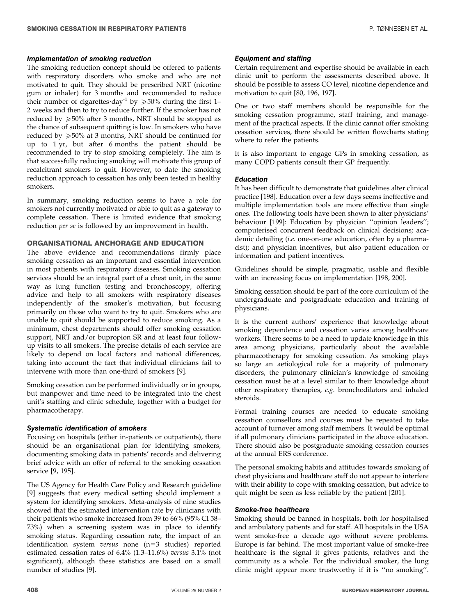#### Implementation of smoking reduction

The smoking reduction concept should be offered to patients with respiratory disorders who smoke and who are not motivated to quit. They should be prescribed NRT (nicotine gum or inhaler) for 3 months and recommended to reduce their number of cigarettes day<sup>-1</sup> by  $\geq 50\%$  during the first 1– 2 weeks and then to try to reduce further. If the smoker has not reduced by  $\geq 50\%$  after 3 months, NRT should be stopped as the chance of subsequent quitting is low. In smokers who have reduced by  $\geq 50\%$  at 3 months, NRT should be continued for up to 1 yr, but after 6 months the patient should be recommended to try to stop smoking completely. The aim is that successfully reducing smoking will motivate this group of recalcitrant smokers to quit. However, to date the smoking reduction approach to cessation has only been tested in healthy smokers.

In summary, smoking reduction seems to have a role for smokers not currently motivated or able to quit as a gateway to complete cessation. There is limited evidence that smoking reduction per se is followed by an improvement in health.

## ORGANISATIONAL ANCHORAGE AND EDUCATION

The above evidence and recommendations firmly place smoking cessation as an important and essential intervention in most patients with respiratory diseases. Smoking cessation services should be an integral part of a chest unit, in the same way as lung function testing and bronchoscopy, offering advice and help to all smokers with respiratory diseases independently of the smoker's motivation, but focusing primarily on those who want to try to quit. Smokers who are unable to quit should be supported to reduce smoking. As a minimum, chest departments should offer smoking cessation support, NRT and/or bupropion SR and at least four followup visits to all smokers. The precise details of each service are likely to depend on local factors and national differences, taking into account the fact that individual clinicians fail to intervene with more than one-third of smokers [9].

Smoking cessation can be performed individually or in groups, but manpower and time need to be integrated into the chest unit's staffing and clinic schedule, together with a budget for pharmacotherapy.

## Systematic identification of smokers

Focusing on hospitals (either in-patients or outpatients), there should be an organisational plan for identifying smokers, documenting smoking data in patients' records and delivering brief advice with an offer of referral to the smoking cessation service [9, 195].

The US Agency for Health Care Policy and Research guideline [9] suggests that every medical setting should implement a system for identifying smokers. Meta-analysis of nine studies showed that the estimated intervention rate by clinicians with their patients who smoke increased from 39 to 66% (95% CI 58– 73%) when a screening system was in place to identify smoking status. Regarding cessation rate, the impact of an identification system versus none  $(n=3$  studies) reported estimated cessation rates of 6.4% (1.3–11.6%) versus 3.1% (not significant), although these statistics are based on a small number of studies [9].

## Equipment and staffing

Certain requirement and expertise should be available in each clinic unit to perform the assessments described above. It should be possible to assess CO level, nicotine dependence and motivation to quit [80, 196, 197].

One or two staff members should be responsible for the smoking cessation programme, staff training, and management of the practical aspects. If the clinic cannot offer smoking cessation services, there should be written flowcharts stating where to refer the patients.

It is also important to engage GPs in smoking cessation, as many COPD patients consult their GP frequently.

#### Education

It has been difficult to demonstrate that guidelines alter clinical practice [198]. Education over a few days seems ineffective and multiple implementation tools are more effective than single ones. The following tools have been shown to alter physicians' behaviour [199]: Education by physician ''opinion leaders''; computerised concurrent feedback on clinical decisions; academic detailing (*i.e.* one-on-one education, often by a pharmacist); and physician incentives, but also patient education or information and patient incentives.

Guidelines should be simple, pragmatic, usable and flexible with an increasing focus on implementation [198, 200].

Smoking cessation should be part of the core curriculum of the undergraduate and postgraduate education and training of physicians.

It is the current authors' experience that knowledge about smoking dependence and cessation varies among healthcare workers. There seems to be a need to update knowledge in this area among physicians, particularly about the available pharmacotherapy for smoking cessation. As smoking plays so large an aetiological role for a majority of pulmonary disorders, the pulmonary clinician's knowledge of smoking cessation must be at a level similar to their knowledge about other respiratory therapies, e.g. bronchodilators and inhaled steroids.

Formal training courses are needed to educate smoking cessation counsellors and courses must be repeated to take account of turnover among staff members. It would be optimal if all pulmonary clinicians participated in the above education. There should also be postgraduate smoking cessation courses at the annual ERS conference.

The personal smoking habits and attitudes towards smoking of chest physicians and healthcare staff do not appear to interfere with their ability to cope with smoking cessation, but advice to quit might be seen as less reliable by the patient [201].

#### Smoke-free healthcare

Smoking should be banned in hospitals, both for hospitalised and ambulatory patients and for staff. All hospitals in the USA went smoke-free a decade ago without severe problems. Europe is far behind. The most important value of smoke-free healthcare is the signal it gives patients, relatives and the community as a whole. For the individual smoker, the lung clinic might appear more trustworthy if it is ''no smoking''.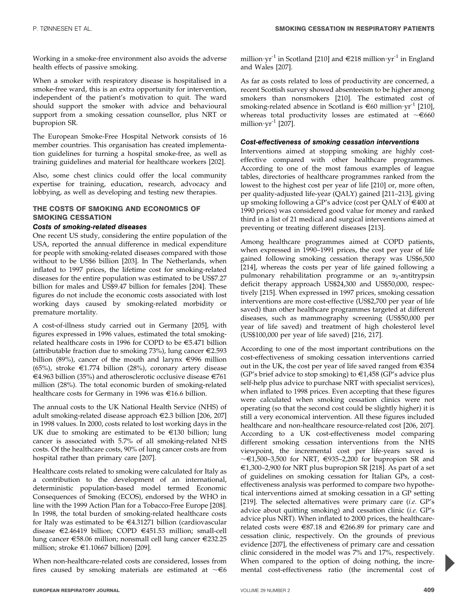Working in a smoke-free environment also avoids the adverse health effects of passive smoking.

When a smoker with respiratory disease is hospitalised in a smoke-free ward, this is an extra opportunity for intervention, independent of the patient's motivation to quit. The ward should support the smoker with advice and behavioural support from a smoking cessation counsellor, plus NRT or bupropion SR.

The European Smoke-Free Hospital Network consists of 16 member countries. This organisation has created implementation guidelines for turning a hospital smoke-free, as well as training guidelines and material for healthcare workers [202].

Also, some chest clinics could offer the local community expertise for training, education, research, advocacy and lobbying, as well as developing and testing new therapies.

## THE COSTS OF SMOKING AND ECONOMICS OF SMOKING CESSATION

## Costs of smoking-related diseases

One recent US study, considering the entire population of the USA, reported the annual difference in medical expenditure for people with smoking-related diseases compared with those without to be US\$6 billion [203]. In The Netherlands, when inflated to 1997 prices, the lifetime cost for smoking-related diseases for the entire population was estimated to be US\$7.27 billion for males and US\$9.47 billion for females [204]. These figures do not include the economic costs associated with lost working days caused by smoking-related morbidity or premature mortality.

A cost-of-illness study carried out in Germany [205], with figures expressed in 1996 values, estimated the total smokingrelated healthcare costs in 1996 for COPD to be  $\epsilon$ 5.471 billion (attributable fraction due to smoking 73%), lung cancer  $\epsilon$ 2.593 billion (89%), cancer of the mouth and larynx  $\epsilon$ 996 million (65%), stroke  $\epsilon$ 1.774 billion (28%), coronary artery disease €4.963 billion (35%) and atherosclerotic occlusive disease €761 million (28%). The total economic burden of smoking-related healthcare costs for Germany in 1996 was  $\in$ 16.6 billion.

The annual costs to the UK National Health Service (NHS) of adult smoking-related disease approach  $\in$  2.3 billion [206, 207] in 1998 values. In 2000, costs related to lost working days in the UK due to smoking are estimated to be  $\in$ 130 billion; lung cancer is associated with 5.7% of all smoking-related NHS costs. Of the healthcare costs, 90% of lung cancer costs are from hospital rather than primary care [207].

Healthcare costs related to smoking were calculated for Italy as a contribution to the development of an international, deterministic population-based model termed Economic Consequences of Smoking (ECOS), endorsed by the WHO in line with the 1999 Action Plan for a Tobacco-Free Europe [208]. In 1998, the total burden of smoking-related healthcare costs for Italy was estimated to be  $\in$ 4.31271 billion (cardiovascular disease  $\epsilon$ 2.46419 billion; COPD  $\epsilon$ 451.53 million; small-cell lung cancer  $\epsilon$ 58.06 million; nonsmall cell lung cancer  $\epsilon$ 232.25 million; stroke  $\in$ 1.10667 billion) [209].

When non-healthcare-related costs are considered, losses from fires caused by smoking materials are estimated at  $\sim \epsilon_6$  million $\cdot$ yr<sup>-1</sup> in Scotland [210] and  $\in$ 218 million $\cdot$ yr<sup>-1</sup> in England and Wales [207].

As far as costs related to loss of productivity are concerned, a recent Scottish survey showed absenteeism to be higher among smokers than nonsmokers [210]. The estimated cost of smoking-related absence in Scotland is  $\in 60$  million $yr^{-1}$  [210], whereas total productivity losses are estimated at  $\sim \epsilon$ 660 million $\cdot$ yr<sup>-1</sup> [207].

## Cost-effectiveness of smoking cessation interventions

Interventions aimed at stopping smoking are highly costeffective compared with other healthcare programmes. According to one of the most famous examples of league tables, directories of healthcare programmes ranked from the lowest to the highest cost per year of life [210] or, more often, per quality-adjusted life-year (QALY) gained [211–213], giving up smoking following a GP's advice (cost per QALY of  $\in 400$  at 1990 prices) was considered good value for money and ranked third in a list of 21 medical and surgical interventions aimed at preventing or treating different diseases [213].

Among healthcare programmes aimed at COPD patients, when expressed in 1990–1991 prices, the cost per year of life gained following smoking cessation therapy was US\$6,500 [214], whereas the costs per year of life gained following a pulmonary rehabilitation programme or an  $\alpha_1$ -antitrypsin deficit therapy approach US\$24,300 and US\$50,000, respectively [215]. When expressed in 1997 prices, smoking cessation interventions are more cost-effective (US\$2,700 per year of life saved) than other healthcare programmes targeted at different diseases, such as mammography screening (US\$50,000 per year of life saved) and treatment of high cholesterol level (US\$100,000 per year of life saved) [216, 217].

According to one of the most important contributions on the cost-effectiveness of smoking cessation interventions carried out in the UK, the cost per year of life saved ranged from  $\epsilon$ 354 (GP's brief advice to stop smoking) to  $\in$ 1,458 (GP's advice plus self-help plus advice to purchase NRT with specialist services), when inflated to 1998 prices. Even accepting that these figures were calculated when smoking cessation clinics were not operating (so that the second cost could be slightly higher) it is still a very economical intervention. All these figures included healthcare and non-healthcare resource-related cost [206, 207]. According to a UK cost-effectiveness model comparing different smoking cessation interventions from the NHS viewpoint, the incremental cost per life-years saved is  $\sim \epsilon$ 1,500–3,500 for NRT,  $\epsilon$ 935–2,200 for bupropion SR and  $\epsilon$ 1,300–2,900 for NRT plus bupropion SR [218]. As part of a set of guidelines on smoking cessation for Italian GPs, a costeffectiveness analysis was performed to compare two hypothetical interventions aimed at smoking cessation in a GP setting [219]. The selected alternatives were primary care  $(i.e.$  GP's advice about quitting smoking) and cessation clinic (i.e. GP's advice plus NRT). When inflated to 2000 prices, the healthcarerelated costs were  $\epsilon$ 87.18 and  $\epsilon$ 266.89 for primary care and cessation clinic, respectively. On the grounds of previous evidence [207], the effectiveness of primary care and cessation clinic considered in the model was 7% and 17%, respectively. When compared to the option of doing nothing, the incremental cost-effectiveness ratio (the incremental cost of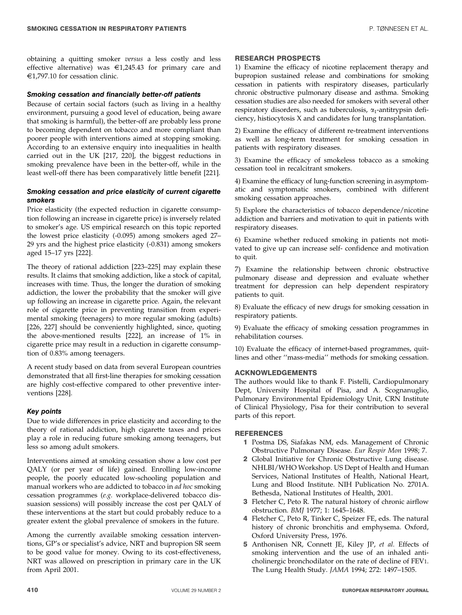obtaining a quitting smoker versus a less costly and less effective alternative) was  $\epsilon$ 1,245.43 for primary care and  $\epsilon$ 1,797.10 for cessation clinic.

#### Smoking cessation and financially better-off patients

Because of certain social factors (such as living in a healthy environment, pursuing a good level of education, being aware that smoking is harmful), the better-off are probably less prone to becoming dependent on tobacco and more compliant than poorer people with interventions aimed at stopping smoking. According to an extensive enquiry into inequalities in health carried out in the UK [217, 220], the biggest reductions in smoking prevalence have been in the better-off, while in the least well-off there has been comparatively little benefit [221].

## Smoking cessation and price elasticity of current cigarette smokers

Price elasticity (the expected reduction in cigarette consumption following an increase in cigarette price) is inversely related to smoker's age. US empirical research on this topic reported the lowest price elasticity (-0.095) among smokers aged 27– 29 yrs and the highest price elasticity (-0.831) among smokers aged 15–17 yrs [222].

The theory of rational addiction [223–225] may explain these results. It claims that smoking addiction, like a stock of capital, increases with time. Thus, the longer the duration of smoking addiction, the lower the probability that the smoker will give up following an increase in cigarette price. Again, the relevant role of cigarette price in preventing transition from experimental smoking (teenagers) to more regular smoking (adults) [226, 227] should be conveniently highlighted, since, quoting the above-mentioned results [222], an increase of 1% in cigarette price may result in a reduction in cigarette consumption of 0.83% among teenagers.

A recent study based on data from several European countries demonstrated that all first-line therapies for smoking cessation are highly cost-effective compared to other preventive interventions [228].

## Key points

Due to wide differences in price elasticity and according to the theory of rational addiction, high cigarette taxes and prices play a role in reducing future smoking among teenagers, but less so among adult smokers.

Interventions aimed at smoking cessation show a low cost per QALY (or per year of life) gained. Enrolling low-income people, the poorly educated low-schooling population and manual workers who are addicted to tobacco in ad hoc smoking cessation programmes (e.g. workplace-delivered tobacco dissuasion sessions) will possibly increase the cost per QALY of these interventions at the start but could probably reduce to a greater extent the global prevalence of smokers in the future.

Among the currently available smoking cessation interventions, GP's or specialist's advice, NRT and bupropion SR seem to be good value for money. Owing to its cost-effectiveness, NRT was allowed on prescription in primary care in the UK from April 2001.

#### RESEARCH PROSPECTS

1) Examine the efficacy of nicotine replacement therapy and bupropion sustained release and combinations for smoking cessation in patients with respiratory diseases, particularly chronic obstructive pulmonary disease and asthma. Smoking cessation studies are also needed for smokers with several other respiratory disorders, such as tuberculosis,  $\alpha_1$ -antitrypsin deficiency, histiocytosis X and candidates for lung transplantation.

2) Examine the efficacy of different re-treatment interventions as well as long-term treatment for smoking cessation in patients with respiratory diseases.

3) Examine the efficacy of smokeless tobacco as a smoking cessation tool in recalcitrant smokers.

4) Examine the efficacy of lung-function screening in asymptomatic and symptomatic smokers, combined with different smoking cessation approaches.

5) Explore the characteristics of tobacco dependence/nicotine addiction and barriers and motivation to quit in patients with respiratory diseases.

6) Examine whether reduced smoking in patients not motivated to give up can increase self- confidence and motivation to quit.

7) Examine the relationship between chronic obstructive pulmonary disease and depression and evaluate whether treatment for depression can help dependent respiratory patients to quit.

8) Evaluate the efficacy of new drugs for smoking cessation in respiratory patients.

9) Evaluate the efficacy of smoking cessation programmes in rehabilitation courses.

10) Evaluate the efficacy of internet-based programmes, quitlines and other ''mass-media'' methods for smoking cessation.

#### ACKNOWLEDGEMENTS

The authors would like to thank F. Pistelli, Cardiopulmonary Dept, University Hospital of Pisa, and A. Scognanuglio, Pulmonary Environmental Epidemiology Unit, CRN Institute of Clinical Physiology, Pisa for their contribution to several parts of this report.

## **REFERENCES**

- 1 Postma DS, Siafakas NM, eds. Management of Chronic Obstructive Pulmonary Disease. Eur Respir Mon 1998; 7.
- 2 Global Initiative for Chronic Obstructive Lung disease. NHLBI/WHO Workshop. US Dept of Health and Human Services, National Institutes of Health, National Heart, Lung and Blood Institute. NIH Publication No. 2701A. Bethesda, National Institutes of Health, 2001.
- 3 Fletcher C, Peto R. The natural history of chronic airflow obstruction. BMJ 1977; 1: 1645–1648.
- 4 Fletcher C, Peto R, Tinker C, Speizer FE, eds. The natural history of chronic bronchitis and emphysema. Oxford, Oxford University Press, 1976.
- 5 Anthonisen NR, Connett JE, Kiley JP, et al. Effects of smoking intervention and the use of an inhaled anticholinergic bronchodilator on the rate of decline of FEV1. The Lung Health Study. JAMA 1994; 272: 1497–1505.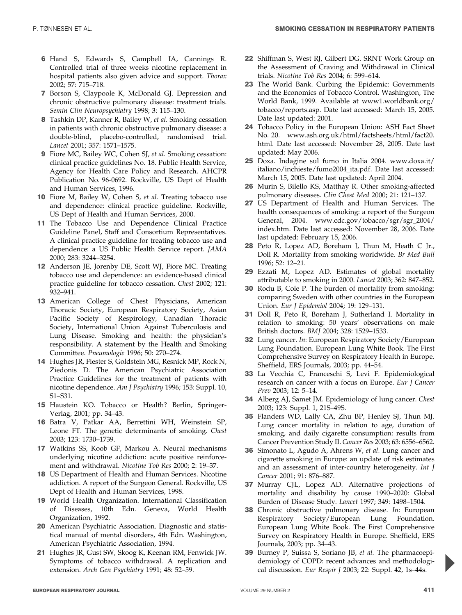- 6 Hand S, Edwards S, Campbell IA, Cannings R. Controlled trial of three weeks nicotine replacement in hospital patients also given advice and support. Thorax 2002; 57: 715–718.
- 7 Borson S, Claypoole K, McDonald GJ. Depression and chronic obstructive pulmonary disease: treatment trials. Semin Clin Neuropsychiatry 1998; 3: 115–130.
- 8 Tashkin DP, Kanner R, Bailey W, et al. Smoking cessation in patients with chronic obstructive pulmonary disease: a double-blind, placebo-controlled, randomised trial. Lancet 2001; 357: 1571–1575.
- 9 Fiore MC, Bailey WC, Cohen SJ, et al. Smoking cessation: clinical practice guidelines No. 18. Public Health Service, Agency for Health Care Policy and Research. AHCPR Publication No. 96-0692. Rockville, US Dept of Health and Human Services, 1996.
- 10 Fiore M, Bailey W, Cohen S, et al. Treating tobacco use and dependence: clinical practice guideline. Rockville, US Dept of Health and Human Services, 2000.
- 11 The Tobacco Use and Dependence Clinical Practice Guideline Panel, Staff and Consortium Representatives. A clinical practice guideline for treating tobacco use and dependence: a US Public Health Service report. JAMA 2000; 283: 3244–3254.
- 12 Anderson JE, Jorenby DE, Scott WJ, Fiore MC. Treating tobacco use and dependence: an evidence-based clinical practice guideline for tobacco cessation. Chest 2002; 121: 932–941.
- 13 American College of Chest Physicians, American Thoracic Society, European Respiratory Society, Asian Pacific Society of Respirology, Canadian Thoracic Society, International Union Against Tuberculosis and Lung Disease. Smoking and health: the physician's responsibility. A statement by the Health and Smoking Committee. Pneumologie 1996; 50: 270–274.
- 14 Hughes JR, Fiester S, Goldstein MG, Resnick MP, Rock N, Ziedonis D. The American Psychiatric Association Practice Guidelines for the treatment of patients with nicotine dependence. Am J Psychiatry 1996; 153: Suppl. 10, S1–S31.
- 15 Haustein KO. Tobacco or Health? Berlin, Springer-Verlag, 2001; pp. 34–43.
- 16 Batra V, Patkar AA, Berrettini WH, Weinstein SP, Leone FT. The genetic determinants of smoking. Chest 2003; 123: 1730–1739.
- 17 Watkins SS, Koob GF, Markou A. Neural mechanisms underlying nicotine addiction: acute positive reinforcement and withdrawal. Nicotine Tob Res 2000; 2: 19–37.
- 18 US Department of Health and Human Services. Nicotine addiction. A report of the Surgeon General. Rockville, US Dept of Health and Human Services, 1998.
- 19 World Health Organization. International Classification of Diseases, 10th Edn. Geneva, World Health Organization, 1992.
- 20 American Psychiatric Association. Diagnostic and statistical manual of mental disorders, 4th Edn. Washington, American Psychiatric Association, 1994.
- 21 Hughes JR, Gust SW, Skoog K, Keenan RM, Fenwick JW. Symptoms of tobacco withdrawal. A replication and extension. Arch Gen Psychiatry 1991; 48: 52–59.
- 22 Shiffman S, West RJ, Gilbert DG. SRNT Work Group on the Assessment of Craving and Withdrawal in Clinical trials. Nicotine Tob Res 2004; 6: 599–614.
- 23 The World Bank. Curbing the Epidemic: Governments and the Economics of Tobacco Control. Washington, The World Bank, 1999. Available at www1.worldbank.org/ tobacco/reports.asp. Date last accessed: March 15, 2005. Date last updated: 2001.
- 24 Tobacco Policy in the European Union: ASH Fact Sheet No. 20. www.ash.org.uk/html/factsheets/html/fact20. html. Date last accessed: November 28, 2005. Date last updated: May 2006.
- 25 Doxa. Indagine sul fumo in Italia 2004. www.doxa.it/ italiano/inchieste/fumo2004\_ita.pdf. Date last accessed: March 15, 2005. Date last updated: April 2004.
- 26 Murin S, Bilello KS, Matthay R. Other smoking-affected pulmonary diseases. Clin Chest Med 2000; 21: 121–137.
- 27 US Department of Health and Human Services. The health consequences of smoking: a report of the Surgeon General, 2004. www.cdc.gov/tobacco/sgr/sgr\_2004/ index.htm. Date last accessed: November 28, 2006. Date last updated: February 15, 2006.
- 28 Peto R, Lopez AD, Boreham J, Thun M, Heath C Jr., Doll R. Mortality from smoking worldwide. Br Med Bull 1996; 52: 12–21.
- 29 Ezzati M, Lopez AD. Estimates of global mortality attributable to smoking in 2000. Lancet 2003; 362: 847–852.
- 30 Rodu B, Cole P. The burden of mortality from smoking: comparing Sweden with other countries in the European Union. Eur J Epidemiol 2004; 19: 129–131.
- 31 Doll R, Peto R, Boreham J, Sutherland I. Mortality in relation to smoking: 50 years' observations on male British doctors. BMJ 2004; 328: 1529–1533.
- 32 Lung cancer. In: European Respiratory Society/European Lung Foundation. European Lung White Book. The First Comprehensive Survey on Respiratory Health in Europe. Sheffield, ERS Journals, 2003; pp. 44–54.
- 33 La Vecchia C, Franceschi S, Levi F. Epidemiological research on cancer with a focus on Europe. Eur J Cancer Prev 2003; 12: 5–14.
- 34 Alberg AJ, Samet JM. Epidemiology of lung cancer. Chest 2003; 123: Suppl. 1, 21S–49S.
- 35 Flanders WD, Lally CA, Zhu BP, Henley SJ, Thun MJ. Lung cancer mortality in relation to age, duration of smoking, and daily cigarette consumption: results from Cancer Prevention Study II. Cancer Res 2003; 63: 6556–6562.
- 36 Simonato L, Agudo A, Ahrens W, et al. Lung cancer and cigarette smoking in Europe: an update of risk estimates and an assessment of inter-country heterogeneity. Int J Cancer 2001; 91: 876–887.
- 37 Murray CJL, Lopez AD. Alternative projections of mortality and disability by cause 1990–2020: Global Burden of Disease Study. Lancet 1997; 349: 1498–1504.
- 38 Chronic obstructive pulmonary disease. In: European Respiratory Society/European Lung Foundation. European Lung White Book. The First Comprehensive Survey on Respiratory Health in Europe. Sheffield, ERS Journals, 2003; pp. 34–43.
- 39 Burney P, Suissa S, Soriano JB, et al. The pharmacoepidemiology of COPD: recent advances and methodological discussion. Eur Respir J 2003; 22: Suppl. 42, 1s–44s.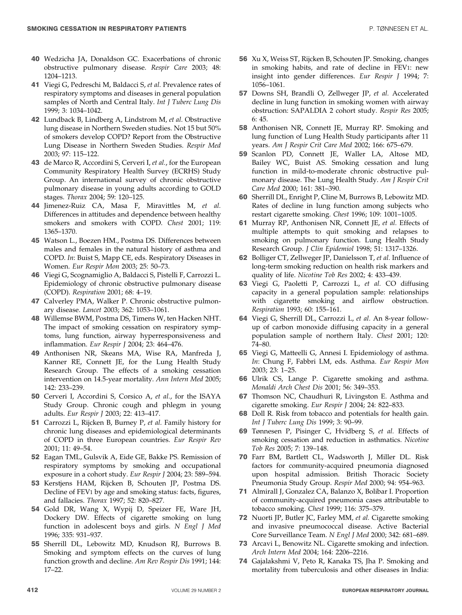- 40 Wedzicha JA, Donaldson GC. Exacerbations of chronic obstructive pulmonary disease. Respir Care 2003; 48: 1204–1213.
- 41 Viegi G, Pedreschi M, Baldacci S, et al. Prevalence rates of respiratory symptoms and diseases in general population samples of North and Central Italy. Int J Tuberc Lung Dis 1999; 3: 1034–1042.
- 42 Lundback B, Lindberg A, Lindstrom M, et al. Obstructive lung disease in Northern Sweden studies. Not 15 but 50% of smokers develop COPD? Report from the Obstructive Lung Disease in Northern Sweden Studies. Respir Med 2003; 97: 115–122.
- 43 de Marco R, Accordini S, Cerveri I, et al., for the European Community Respiratory Health Survey (ECRHS) Study Group. An international survey of chronic obstructive pulmonary disease in young adults according to GOLD stages. Thorax 2004; 59: 120–125.
- 44 Jimenez-Ruiz CA, Masa F, Miravittles M, et al. Differences in attitudes and dependence between healthy smokers and smokers with COPD. Chest 2001; 119: 1365–1370.
- 45 Watson L., Boezen HM., Postma DS. Differences between males and females in the natural history of asthma and COPD. In: Buist S, Mapp CE, eds. Respiratory Diseases in Women. Eur Respir Mon 2003; 25: 50–73.
- 46 Viegi G, Scognamiglio A, Baldacci S, Pistelli F, Carrozzi L. Epidemiology of chronic obstructive pulmonary disease (COPD). Respiration 2001; 68: 4–19.
- 47 Calverley PMA, Walker P. Chronic obstructive pulmonary disease. Lancet 2003; 362: 1053–1061.
- 48 Willemse BWM, Postma DS, Timens W, ten Hacken NHT. The impact of smoking cessation on respiratory symptoms, lung function, airway hyperresponsiveness and inflammation. Eur Respir J 2004; 23: 464–476.
- 49 Anthonisen NR, Skeans MA, Wise RA, Manfreda J, Kanner RE, Connett JE, for the Lung Health Study Research Group. The effects of a smoking cessation intervention on 14.5-year mortality. Ann Intern Med 2005; 142: 233–239.
- 50 Cerveri I, Accordini S, Corsico A, et al., for the ISAYA Study Group. Chronic cough and phlegm in young adults. Eur Respir J 2003; 22: 413–417.
- 51 Carrozzi L, Rijcken B, Burney P, et al. Family history for chronic lung diseases and epidemiological determinants of COPD in three European countries. Eur Respir Rev 2001; 11: 49–54.
- 52 Eagan TML, Gulsvik A, Eide GE, Bakke PS. Remission of respiratory symptoms by smoking and occupational exposure in a cohort study. Eur Respir J 2004; 23: 589–594.
- 53 Kerstjens HAM, Rijcken B, Schouten JP, Postma DS. Decline of FEV1 by age and smoking status: facts, figures, and fallacies. Thorax 1997; 52: 820–827.
- 54 Gold DR, Wang X, Wypij D, Speizer FE, Ware JH, Dockery DW. Effects of cigarette smoking on lung function in adolescent boys and girls. N Engl J Med 1996; 335: 931–937.
- 55 Sherrill DL, Lebowitz MD, Knudson RJ, Burrows B. Smoking and symptom effects on the curves of lung function growth and decline. Am Rev Respir Dis 1991; 144: 17–22.
- 56 Xu X, Weiss ST, Rijcken B, Schouten JP. Smoking, changes in smoking habits, and rate of decline in FEV1: new insight into gender differences. Eur Respir J 1994; 7: 1056–1061.
- 57 Downs SH, Brandli O, Zellweger JP, et al. Accelerated decline in lung function in smoking women with airway obstruction: SAPALDIA 2 cohort study. Respir Res 2005; 6: 45.
- 58 Anthonisen NR, Connett JE, Murray RP. Smoking and lung function of Lung Health Study participants after 11 years. Am J Respir Crit Care Med 2002; 166: 675–679.
- 59 Scanlon PD, Connett JE, Waller LA, Altose MD, Bailey WC, Buist AS. Smoking cessation and lung function in mild-to-moderate chronic obstructive pulmonary disease. The Lung Health Study. Am J Respir Crit Care Med 2000; 161: 381–390.
- 60 Sherrill DL, Enright P, Cline M, Burrows B, Lebowitz MD. Rates of decline in lung function among subjects who restart cigarette smoking. Chest 1996; 109: 1001–1005.
- 61 Murray RP, Anthonisen NR, Connett JE, et al. Effects of multiple attempts to quit smoking and relapses to smoking on pulmonary function. Lung Health Study Research Group. J Clin Epidemiol 1998; 51: 1317–1326.
- 62 Bolliger CT, Zellweger JP, Danielsson T, et al. Influence of long-term smoking reduction on health risk markers and quality of life. Nicotine Tob Res 2002; 4: 433–439.
- 63 Viegi G, Paoletti P, Carrozzi L, et al. CO diffusing capacity in a general population sample: relationships with cigarette smoking and airflow obstruction. Respiration 1993; 60: 155–161.
- 64 Viegi G, Sherrill DL, Carrozzi L, et al. An 8-year followup of carbon monoxide diffusing capacity in a general population sample of northern Italy. Chest 2001; 120: 74–80.
- 65 Viegi G, Matteelli G, Annesi I. Epidemiology of asthma. In: Chung F, Fabbri LM, eds. Asthma. Eur Respir Mon 2003; 23: 1–25.
- 66 Ulrik CS, Lange P. Cigarette smoking and asthma. Monaldi Arch Chest Dis 2001; 56: 349–353.
- 67 Thomson NC, Chaudhuri R, Livingston E. Asthma and cigarette smoking. Eur Respir J 2004; 24: 822–833.
- 68 Doll R. Risk from tobacco and potentials for health gain. Int J Tuberc Lung Dis 1999; 3: 90–99.
- 69 Tønnesen P, Pisinger C, Hvidberg S, et al. Effects of smoking cessation and reduction in asthmatics. Nicotine Tob Res 2005; 7: 139–148.
- 70 Farr BM, Bartlett CL, Wadsworth J, Miller DL. Risk factors for community-acquired pneumonia diagnosed upon hospital admission. British Thoracic Society Pneumonia Study Group. Respir Med 2000; 94: 954–963.
- 71 Almirall J, Gonzalez CA, Balanzo X, Bolibar I. Proportion of community-acquired pneumonia cases attributable to tobacco smoking. Chest 1999; 116: 375–379.
- 72 Nuorti JP, Butler JC, Farley MM, et al. Cigarette smoking and invasive pneumococcal disease. Active Bacterial Core Surveillance Team. N Engl J Med 2000; 342: 681–689.
- 73 Arcavi L, Benowitz NL. Cigarette smoking and infection. Arch Intern Med 2004; 164: 2206–2216.
- 74 Gajalakshmi V, Peto R, Kanaka TS, Jha P. Smoking and mortality from tuberculosis and other diseases in India: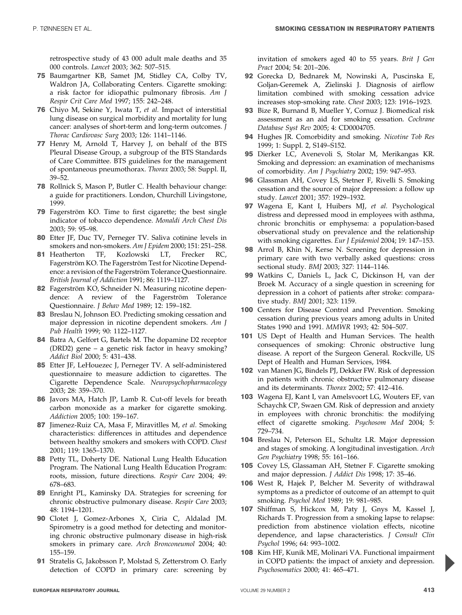retrospective study of 43 000 adult male deaths and 35 000 controls. Lancet 2003; 362: 507–515.

- 75 Baumgartner KB, Samet JM, Stidley CA, Colby TV, Waldron JA, Collaborating Centers. Cigarette smoking: a risk factor for idiopathic pulmonary fibrosis. Am J Respir Crit Care Med 1997; 155: 242–248.
- 76 Chiyo M, Sekine Y, Iwata T, et al. Impact of interstitial lung disease on surgical morbidity and mortality for lung cancer: analyses of short-term and long-term outcomes. J Thorac Cardiovasc Surg 2003; 126: 1141–1146.
- 77 Henry M, Arnold T, Harvey J, on behalf of the BTS Pleural Disease Group, a subgroup of the BTS Standards of Care Committee. BTS guidelines for the management of spontaneous pneumothorax. Thorax 2003; 58: Suppl. II, 39–52.
- 78 Rollnick S, Mason P, Butler C. Health behaviour change: a guide for practitioners. London, Churchill Livingstone, 1999.
- 79 Fagerström KO. Time to first cigarette; the best single indicator of tobacco dependence. Monaldi Arch Chest Dis 2003; 59: 95–98.
- 80 Etter JF, Duc TV, Perneger TV. Saliva cotinine levels in smokers and non-smokers. Am J Epidem 2000; 151: 251–258.
- 81 Heatherton TF, Kozlowski LT, Frecker RC, Fagerström KO. The Fagerström Test for Nicotine Dependence: a revision of the Fagerström Tolerance Questionnaire. British Journal of Addiction 1991; 86: 1119–1127.
- 82 Fagerström KO, Schneider N. Measuring nicotine dependence: A review of the Fagerström Tolerance Questionnaire. J Behav Med 1989; 12: 159–182.
- 83 Breslau N, Johnson EO. Predicting smoking cessation and major depression in nicotine dependent smokers. Am J Pub Health 1999; 90: 1122–1127.
- 84 Batra A, Gelfort G, Bartels M. The dopamine D2 receptor (DRD2) gene – a genetic risk factor in heavy smoking? Addict Biol 2000; 5: 431–438.
- 85 Etter JF, LeHouezec J, Perneger TV. A self-administered questionnaire to measure addiction to cigarettes. The Cigarette Dependence Scale. Neuropsychopharmacology 2003; 28: 359–370.
- 86 Javors MA, Hatch JP, Lamb R. Cut-off levels for breath carbon monoxide as a marker for cigarette smoking. Addiction 2005; 100: 159–167.
- 87 Jimenez-Ruiz CA, Masa F, Miravitlles M, et al. Smoking characteristics: differences in attitudes and dependence between healthy smokers and smokers with COPD. Chest 2001; 119: 1365–1370.
- 88 Petty TL, Doherty DE. National Lung Health Education Program. The National Lung Health Education Program: roots, mission, future directions. Respir Care 2004; 49: 678–683.
- 89 Enright PL, Kaminsky DA. Strategies for screening for chronic obstructive pulmonary disease. Respir Care 2003; 48: 1194–1201.
- 90 Clotet J, Gomez-Arbones X, Ciria C, Aldalad JM. Spirometry is a good method for detecting and monitoring chronic obstructive pulmonary disease in high-risk smokers in primary care. Arch Bronconeumol 2004; 40: 155–159.
- 91 Stratelis G, Jakobsson P, Molstad S, Zetterstrom O. Early detection of COPD in primary care: screening by

invitation of smokers aged 40 to 55 years. Brit J Gen Pract 2004; 54: 201–206.

- 92 Gorecka D, Bednarek M, Nowinski A, Puscinska E, Goljan-Geremek A, Zielinski J. Diagnosis of airflow limitation combined with smoking cessation advice increases stop-smoking rate. Chest 2003; 123: 1916–1923.
- 93 Bize R, Burnand B, Mueller Y, Cornuz J. Biomedical risk assessment as an aid for smoking cessation. Cochrane Database Syst Rev 2005; 4: CD0004705.
- 94 Hughes JR. Comorbidity and smoking. Nicotine Tob Res 1999; 1: Suppl. 2, S149–S152.
- 95 Dierker LC, Avenevoli S, Stolar M, Merikangas KR. Smoking and depression: an examination of mechanisms of comorbidity. Am J Psychiatry 2002; 159: 947–953.
- 96 Glassman AH, Covey LS, Stetner F, Rivelli S. Smoking cessation and the source of major depression: a follow up study. Lancet 2001; 357: 1929–1932.
- 97 Wagena E, Kant I, Huibers MJ, et al. Psychological distress and depressed mood in employees with asthma, chronic bronchitis or emphysema: a population-based observational study on prevalence and the relationship with smoking cigarettes. Eur J Epidemiol 2004; 19: 147–153.
- 98 Arrol B, Khin N, Kerse N. Screening for depression in primary care with two verbally asked questions: cross sectional study. BMJ 2003; 327: 1144–1146.
- 99 Watkins C, Daniels L, Jack C, Dickinson H, van der Broek M. Accuracy of a single question in screening for depression in a cohort of patients after stroke: comparative study. BMJ 2001; 323: 1159.
- 100 Centers for Disease Control and Prevention. Smoking cessation during previous years among adults in United States 1990 and 1991. MMWR 1993; 42: 504–507.
- 101 US Dept of Health and Human Services. The health consequences of smoking: Chronic obstructive lung disease. A report of the Surgeon General. Rockville, US Dept of Health and Human Services, 1984.
- 102 van Manen JG, Bindels PJ, Dekker FW. Risk of depression in patients with chronic obstructive pulmonary disease and its determinants. Thorax 2002; 57: 412–416.
- 103 Wagena EJ, Kant I, van Amelsvoort LG, Wouters EF, van Schaychk CP, Swaen GM. Risk of depression and anxiety in employees with chronic bronchitis: the modifying effect of cigarette smoking. Psychosom Med 2004; 5: 729–734.
- 104 Breslau N, Peterson EL, Schultz LR. Major depression and stages of smoking. A longitudinal investigation. Arch Gen Psychiatry 1998; 55: 161–166.
- 105 Covey LS, Glassaman AH, Stetner F. Cigarette smoking and major depression. J Addict Dis 1998; 17: 35–46.
- 106 West R, Hajek P, Belcher M. Severity of withdrawal symptoms as a predictor of outcome of an attempt to quit smoking. Psychol Med 1989; 19: 981–985.
- 107 Shiffman S, Hickcox M, Paty J, Gnys M, Kassel J, Richards T. Progression from a smoking lapse to relapse: prediction from abstinence violation effects, nicotine dependence, and lapse characteristics. J Consult Clin Psychol 1996; 64: 993–1002.
- 108 Kim HF, Kunik ME, Molinari VA. Functional impairment in COPD patients: the impact of anxiety and depression. Psychosomatics 2000; 41: 465–471.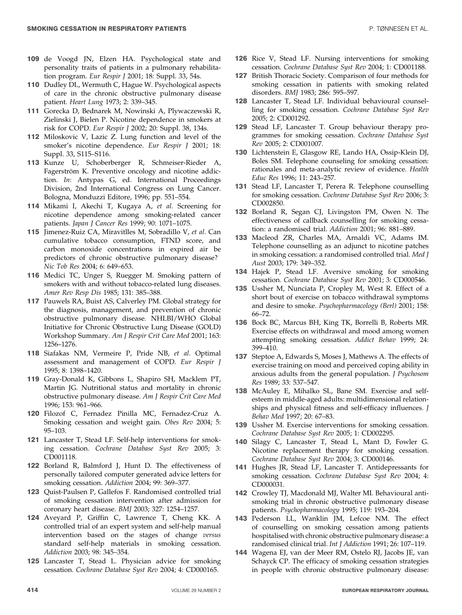- 109 de Voogd JN, Elzen HA. Psychological state and personality traits of patients in a pulmonary rehabilitation program. Eur Respir J 2001; 18: Suppl. 33, 54s.
- 110 Dudley DL, Wermuth C, Hague W. Psychological aspects of care in the chronic obstructive pulmonary disease patient. Heart Lung 1973; 2: 339–345.
- 111 Gorecka D, Bednarek M, Nowinski A, Plywaczewski R, Zielinski J, Bielen P. Nicotine dependence in smokers at risk for COPD. Eur Respir J 2002; 20: Suppl. 38, 134s.
- 112 Miloskovic V, Lazic Z. Lung function and level of the smoker's nicotine dependence. Eur Respir J 2001; 18: Suppl. 33, S115–S116.
- 113 Kunze U, Schoberberger R, Schmeiser-Rieder A, Fagerström K. Preventive oncology and nicotine addiction. In: Antypas G, ed. International Proceedings Division, 2nd International Congress on Lung Cancer. Bologna, Monduzzi Editore, 1996; pp. 551–554.
- 114 Mikami I, Akechi T, Kugaya A, et al. Screening for nicotine dependence among smoking-related cancer patients. Japan J Cancer Res 1999; 90: 1071–1075.
- 115 Jimenez-Ruiz CA, Miravitlles M, Sobradillo V, et al. Can cumulative tobacco consumption, FTND score, and carbon monoxide concentrations in expired air be predictors of chronic obstructive pulmonary disease? Nic Tob Res 2004; 6: 649–653.
- 116 Medici TC, Unger S, Ruegger M. Smoking pattern of smokers with and without tobacco-related lung diseases. Amer Rev Resp Dis 1985; 131: 385–388.
- 117 Pauwels RA, Buist AS, Calverley PM. Global strategy for the diagnosis, management, and prevention of chronic obstructive pulmonary disease. NHLBI/WHO Global Initiative for Chronic Obstructive Lung Disease (GOLD) Workshop Summary. Am J Respir Crit Care Med 2001; 163: 1256–1276.
- 118 Siafakas NM, Vermeire P, Pride NB, et al. Optimal assessment and management of COPD. Eur Respir J 1995; 8: 1398–1420.
- 119 Gray-Donald K, Gibbons L, Shapiro SH, Macklem PT, Martin JG. Nutritional status and mortality in chronic obstructive pulmonary disease. Am J Respir Crit Care Med 1996; 153: 961–966.
- 120 Filozof C, Fernadez Pinilla MC, Fernadez-Cruz A. Smoking cessation and weight gain. Obes Rev 2004; 5: 95–103.
- 121 Lancaster T, Stead LF. Self-help interventions for smoking cessation. Cochrane Database Syst Rev 2005; 3: CD001118.
- 122 Borland R, Balmford J, Hunt D. The effectiveness of personally tailored computer generated advice letters for smoking cessation. Addiction 2004; 99: 369–377.
- 123 Quist-Paulsen P, Gallefos F. Randomised controlled trial of smoking cessation intervention after admission for coronary heart disease. BMJ 2003; 327: 1254–1257.
- 124 Aveyard P, Griffin C, Lawrence T, Cheng KK. A controlled trial of an expert system and self-help manual intervention based on the stages of change versus standard self-help materials in smoking cessation. Addiction 2003; 98: 345–354.
- 125 Lancaster T, Stead L. Physician advice for smoking cessation. Cochrane Database Syst Rev 2004; 4: CD000165.
- 126 Rice V, Stead LF. Nursing interventions for smoking cessation. Cochrane Database Syst Rev 2004; 1: CD001188.
- 127 British Thoracic Society. Comparison of four methods for smoking cessation in patients with smoking related disorders. BMJ 1983; 286: 595–597.
- 128 Lancaster T, Stead LF. Individual behavioural counselling for smoking cessation. Cochrane Database Syst Rev 2005; 2: CD001292.
- 129 Stead LF, Lancaster T. Group behaviour therapy programmes for smoking cessation. Cochrane Database Syst Rev 2005; 2: CD001007.
- 130 Lichtenstein E, Glasgow RE, Lando HA, Ossip-Klein DJ, Boles SM. Telephone counseling for smoking cessation: rationales and meta-analytic review of evidence. Health Educ Res 1996; 11: 243–257.
- 131 Stead LF, Lancaster T, Perera R. Telephone counselling for smoking cessation. Cochrane Database Syst Rev 2006; 3: CD002850.
- 132 Borland R, Segan CJ, Livingston PM, Owen N. The effectiveness of callback counselling for smoking cessation: a randomised trial. Addiction 2001; 96: 881–889.
- 133 Macleod ZR, Charles MA, Arnaldi VC, Adams IM. Telephone counselling as an adjunct to nicotine patches in smoking cessation: a randomised controlled trial. Med J Aust 2003; 179: 349–352.
- 134 Hajek P, Stead LF. Aversive smoking for smoking cessation. Cochrane Database Syst Rev 2001; 3: CD000546.
- 135 Ussher M, Nunciata P, Cropley M, West R. Effect of a short bout of exercise on tobacco withdrawal symptoms and desire to smoke. Psychopharmacology (Berl) 2001; 158: 66–72.
- 136 Bock BC, Marcus BH, King TK, Borrelli B, Roberts MR. Exercise effects on withdrawal and mood among women attempting smoking cessation. Addict Behav 1999; 24: 399–410.
- 137 Steptoe A, Edwards S, Moses J, Mathews A. The effects of exercise training on mood and perceived coping ability in anxious adults from the general population. J Psychosom Res 1989; 33: 537–547.
- 138 McAuley E, Mihalko SL, Bane SM. Exercise and selfesteem in middle-aged adults: multidimensional relationships and physical fitness and self-efficacy influences. J Behav Med 1997; 20: 67–83.
- 139 Ussher M. Exercise interventions for smoking cessation. Cochrane Database Syst Rev 2005; 1: CD002295.
- 140 Silagy C, Lancaster T, Stead L, Mant D, Fowler G. Nicotine replacement therapy for smoking cessation. Cochrane Database Syst Rev 2004; 3: CD000146.
- 141 Hughes JR, Stead LF, Lancaster T. Antidepressants for smoking cessation. Cochrane Database Syst Rev 2004; 4: CD000031.
- 142 Crowley TJ, Macdonald MJ, Walter MI. Behavioural antismoking trial in chronic obstructive pulmonary disease patients. Psychopharmacology 1995; 119: 193–204.
- 143 Pederson LL, Wanklin JM, Lefcoe NM. The effect of counselling on smoking cessation among patients hospitalised with chronic obstructive pulmonary disease: a randomised clinical trial. Int J Addiction 1991; 26: 107–119.
- 144 Wagena EJ, van der Meer RM, Ostelo RJ, Jacobs JE, van Schayck CP. The efficacy of smoking cessation strategies in people with chronic obstructive pulmonary disease: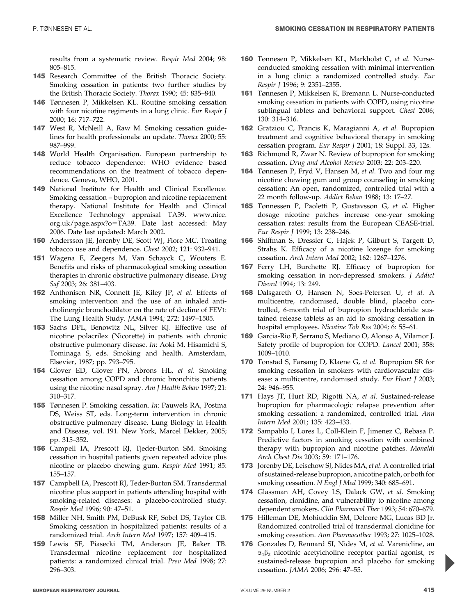results from a systematic review. Respir Med 2004; 98: 805–815.

- 145 Research Committee of the British Thoracic Society. Smoking cessation in patients: two further studies by the British Thoracic Society. Thorax 1990; 45: 835–840.
- 146 Tønnesen P, Mikkelsen KL. Routine smoking cessation with four nicotine regiments in a lung clinic. Eur Respir J 2000; 16: 717–722.
- 147 West R, McNeill A, Raw M. Smoking cessation guidelines for health professionals: an update. Thorax 2000; 55: 987–999.
- 148 World Health Organisation. European partnership to reduce tobacco dependence: WHO evidence based recommendations on the treatment of tobacco dependence. Geneva, WHO, 2001.
- 149 National Institute for Health and Clinical Excellence. Smoking cessation – bupropion and nicotine replacement therapy. National Institute for Health and Clinical Excellence Technology appraisal TA39. www.nice. org.uk/page.aspx?o=TA39. Date last accessed: May 2006. Date last updated: March 2002.
- 150 Andersson JE, Jorenby DE, Scott WJ, Fiore MC. Treating tobacco use and dependence. Chest 2002; 121: 932–941.
- 151 Wagena E, Zeegers M, Van Schayck C, Wouters E. Benefits and risks of pharmacological smoking cessation therapies in chronic obstructive pulmonary disease. Drug Saf 2003; 26: 381–403.
- 152 Anthonisen NR, Connett JE, Kiley JP, et al. Effects of smoking intervention and the use of an inhaled anticholinergic bronchodilator on the rate of decline of FEV1: The Lung Health Study. JAMA 1994; 272: 1497–1505.
- 153 Sachs DPL, Benowitz NL, Silver KJ. Effective use of nicotine polacrilex (Nicorette) in patients with chronic obstructive pulmonary disease. In: Aoki M, Hisamichi S, Tominaga S, eds. Smoking and health. Amsterdam, Elsevier, 1987; pp. 793–795.
- 154 Glover ED, Glover PN, Abrons HL, et al. Smoking cessation among COPD and chronic bronchitis patients using the nicotine nasal spray. Am J Health Behav 1997; 21: 310–317.
- 155 Tønnesen P. Smoking cessation. In: Pauwels RA, Postma DS, Weiss ST, eds. Long-term intervention in chronic obstructive pulmonary disease. Lung Biology in Health and Disease, vol. 191. New York, Marcel Dekker, 2005; pp. 315–352.
- 156 Campell IA, Prescott RJ, Tjeder-Burton SM. Smoking cessation in hospital patients given repeated advice plus nicotine or placebo chewing gum. Respir Med 1991; 85: 155–157.
- 157 Campbell IA, Prescott RJ, Teder-Burton SM. Transdermal nicotine plus support in patients attending hospital with smoking-related diseases: a placebo-controlled study. Respir Med 1996; 90: 47–51.
- 158 Miller NH, Smith PM, DeBusk RF, Sobel DS, Taylor CB. Smoking cessation in hospitalized patients: results of a randomized trial. Arch Intern Med 1997; 157: 409–415.
- 159 Lewis SF, Piasecki TM, Anderson JE, Baker TB. Transdermal nicotine replacement for hospitalized patients: a randomized clinical trial. Prev Med 1998; 27: 296–303.
- 160 Tønnesen P, Mikkelsen KL, Markholst C, et al. Nurseconducted smoking cessation with minimal intervention in a lung clinic: a randomized controlled study. Eur Respir J 1996; 9: 2351–2355.
- 161 Tønnesen P, Mikkelsen K, Bremann L. Nurse-conducted smoking cessation in patients with COPD, using nicotine sublingual tablets and behavioral support. Chest 2006; 130: 314–316.
- 162 Gratziou C, Francis K, Maragianni A, et al. Bupropion treatment and cognitive behavioral therapy in smoking cessation program. Eur Respir J 2001; 18: Suppl. 33, 12s.
- 163 Richmond R, Zwar N. Review of bupropion for smoking cessation. Drug and Alcohol Review 2003; 22: 203–220.
- 164 Tønnesen P, Fryd V, Hansen M, et al. Two and four mg nicotine chewing gum and group counseling in smoking cessation: An open, randomized, controlled trial with a 22 month follow-up. Addict Behav 1988; 13: 17–27.
- 165 Tønnessen P, Paoletti P, Gustavsson G, et al. Higher dosage nicotine patches increase one-year smoking cessation rates: results from the European CEASE-trial. Eur Respir J 1999; 13: 238–246.
- 166 Shiffman S, Dressler C, Hajek P, Gilburt S, Targett D, Strahs K. Efficacy of a nicotine lozenge for smoking cessation. Arch Intern Med 2002; 162: 1267–1276.
- 167 Ferry LH, Burchette RJ. Efficacy of bupropion for smoking cessation in non-depressed smokers. J Addict Disord 1994; 13: 249.
- 168 Dalsgareth O, Hansen N, Soes-Petersen U, et al. A multicentre, randomised, double blind, placebo controlled, 6-month trial of bupropion hydrochloride sustained release tablets as an aid to smoking cessation in hospital employees. Nicotine Tob Res 2004; 6: 55–61.
- 169 Garcia-Rio F, Serrano S, Mediano O, Alonso A, Vilamor J. Safety profile of bupropion for COPD. Lancet 2001; 358: 1009–1010.
- 170 Tonstad S, Farsang D, Klaene G, et al. Bupropion SR for smoking cessation in smokers with cardiovascular disease: a multicentre, randomised study. Eur Heart J 2003; 24: 946–955.
- 171 Hays JT, Hurt RD, Rigotti NA, et al. Sustained-release bupropion for pharmacologic relapse prevention after smoking cessation: a randomized, controlled trial. Ann Intern Med 2001; 135: 423–433.
- 172 Sampablo I, Lores L, Coll-Klein F, Jimenez C, Rebasa P. Predictive factors in smoking cessation with combined therapy with bupropion and nicotine patches. Monaldi Arch Chest Dis 2003; 59: 171–176.
- 173 Jorenby DE, Leischow SJ, Nides MA, et al. A controlled trial of sustained-release bupropion, a nicotine patch, or both for smoking cessation. N Engl J Med 1999; 340: 685–691.
- 174 Glassman AH, Covey LS, Dalack GW, et al. Smoking cessation, clonidine, and vulnerability to nicotine among dependent smokers. Clin Pharmacol Ther 1993; 54: 670–679.
- 175 Hilleman DE, Mohiuddin SM, Delcore MG, Lucas BD Jr. Randomized controlled trial of transdermal clonidine for smoking cessation. Ann Pharmacother 1993; 27: 1025–1028.
- 176 Gonzales D, Rennard SI, Nides M, et al. Varenicline, an  $\alpha_4\beta_2$  nicotinic acetylcholine receptor partial agonist, vs sustained-release bupropion and placebo for smoking cessation. JAMA 2006; 296: 47–55.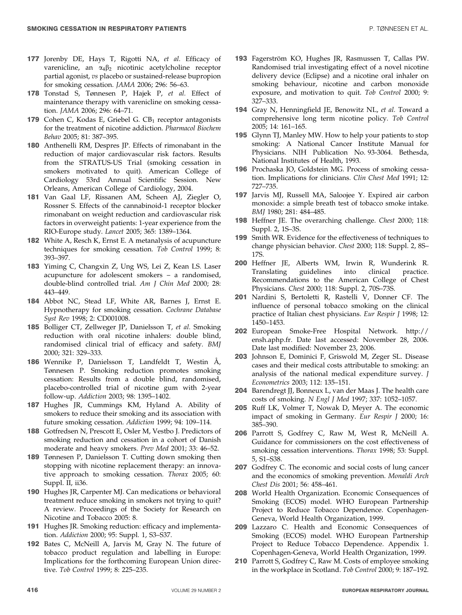- 177 Jorenby DE, Hays T, Rigotti NA, et al. Efficacy of varenicline, an  $\alpha_4\beta_2$  nicotinic acetylcholine receptor partial agonist, vs placebo or sustained-release bupropion for smoking cessation. JAMA 2006; 296: 56–63.
- 178 Tonstad S, Tønnesen P, Hajek P, et al. Effect of maintenance therapy with varenicline on smoking cessation. JAMA 2006; 296: 64–71.
- **179** Cohen C, Kodas E, Griebel G.  $CB_1$  receptor antagonists for the treatment of nicotine addiction. Pharmacol Biochem Behav 2005; 81: 387–395.
- 180 Anthenelli RM, Despres JP. Effects of rimonabant in the reduction of major cardiovascular risk factors. Results from the STRATUS-US Trial (smoking cessation in smokers motivated to quit). American College of Cardiology 53rd Annual Scientific Session. New Orleans, American College of Cardiology, 2004.
- 181 Van Gaal LF, Rissanen AM, Scheen AJ, Ziegler O, Rossner S. Effects of the cannabinoid-1 receptor blocker rimonabant on weight reduction and cardiovascular risk factors in overweight patients: 1-year experience from the RIO-Europe study. Lancet 2005; 365: 1389–1364.
- 182 White A, Resch K, Ernst E. A metanalysis of acupuncture techniques for smoking cessation. Tob Control 1999; 8: 393–397.
- 183 Yiming C, Changxin Z, Ung WS, Lei Z, Kean LS. Laser acupuncture for adolescent smokers – a randomised, double-blind controlled trial. Am J Chin Med 2000; 28: 443–449.
- 184 Abbot NC, Stead LF, White AR, Barnes J, Ernst E. Hypnotherapy for smoking cessation. Cochrane Database Syst Rev 1998; 2: CD001008.
- 185 Bolliger CT, Zellweger JP, Danielsson T, et al. Smoking reduction with oral nicotine inhalers: double blind, randomised clinical trial of efficacy and safety. BMJ 2000; 321: 329–333.
- 186 Wennike P, Danielsson T, Landfeldt T, Westin Å, Tønnesen P. Smoking reduction promotes smoking cessation: Results from a double blind, randomised, placebo-controlled trial of nicotine gum with 2-year follow-up. Addiction 2003; 98: 1395–1402.
- 187 Hughes JR, Cummings KM, Hyland A. Ability of smokers to reduce their smoking and its association with future smoking cessation. Addiction 1999; 94: 109–114.
- 188 Gotfredsen N, Prescott E, Osler M, Vestbo J. Predictors of smoking reduction and cessation in a cohort of Danish moderate and heavy smokers. Prev Med 2001; 33: 46–52.
- 189 Tønnesen P, Danielsson T. Cutting down smoking then stopping with nicotine replacement therapy: an innovative approach to smoking cessation. Thorax 2005; 60: Suppl. II, ii36.
- 190 Hughes JR, Carpenter MJ. Can medications or behavioral treatment reduce smoking in smokers not trying to quit? A review. Proceedings of the Society for Research on Nicotine and Tobacco 2005: 8.
- 191 Hughes JR. Smoking reduction: efficacy and implementation. Addiction 2000; 95: Suppl. 1, S3–S37.
- 192 Bates C, McNeill A, Jarvis M, Gray N. The future of tobacco product regulation and labelling in Europe: Implications for the forthcoming European Union directive. Tob Control 1999; 8: 225–235.
- 193 Fagerström KO, Hughes JR, Rasmussen T, Callas PW. Randomised trial investigating effect of a novel nicotine delivery device (Eclipse) and a nicotine oral inhaler on smoking behaviour, nicotine and carbon monoxide exposure, and motivation to quit. Tob Control 2000; 9: 327–333.
- 194 Gray N, Henningfield JE, Benowitz NL, et al. Toward a comprehensive long term nicotine policy. Tob Control 2005; 14: 161–165.
- 195 Glynn TJ, Manley MW. How to help your patients to stop smoking: A National Cancer Institute Manual for Physicians. NIH Publication No. 93-3064. Bethesda, National Institutes of Health, 1993.
- 196 Prochaska JO, Goldstein MG. Process of smoking cessation. Implications for clinicians. Clin Chest Med 1991; 12: 727–735.
- 197 Jarvis MJ, Russell MA, Saloojee Y. Expired air carbon monoxide: a simple breath test of tobacco smoke intake. BMJ 1980; 281: 484–485.
- 198 Heffner JE. The overarching challenge. Chest 2000; 118: Suppl. 2, 1S–3S.
- 199 Smith WR. Evidence for the effectiveness of techniques to change physician behavior. Chest 2000; 118: Suppl. 2, 8S– 17S.
- 200 Heffner JE, Alberts WM, Irwin R, Wunderink R. Translating guidelines into clinical practice. Recommendations to the American College of Chest Physicians. Chest 2000; 118: Suppl. 2, 70S–73S.
- 201 Nardini S, Bertoletti R, Rastelli V, Donner CF. The influence of personal tobacco smoking on the clinical practice of Italian chest physicians. Eur Respir J 1998; 12: 1450–1453.
- 202 European Smoke-Free Hospital Network. http:// ensh.aphp.fr. Date last accessed: November 28, 2006. Date last modified: November 23, 2006.
- 203 Johnson E, Dominici F, Griswold M, Zeger SL. Disease cases and their medical costs attributable to smoking: an analysis of the national medical expenditure survey. J Econometrics 2003; 112: 135–151.
- 204 Barendregt JJ, Bonneux L, van der Maas J. The health care costs of smoking. N Engl J Med 1997; 337: 1052–1057.
- 205 Ruff LK, Volmer T, Nowak D, Meyer A. The economic impact of smoking in Germany. Eur Respir J 2000; 16: 385–390.
- 206 Parrott S, Godfrey C, Raw M, West R, McNeill A. Guidance for commissioners on the cost effectiveness of smoking cessation interventions. Thorax 1998; 53: Suppl. 5, S1–S38.
- 207 Godfrey C. The economic and social costs of lung cancer and the economics of smoking prevention. Monaldi Arch Chest Dis 2001; 56: 458–461.
- 208 World Health Organization. Economic Consequences of Smoking (ECOS) model. WHO European Partnership Project to Reduce Tobacco Dependence. Copenhagen-Geneva, World Health Organization, 1999.
- 209 Lazzaro C. Health and Economic Consequences of Smoking (ECOS) model. WHO European Partnership Project to Reduce Tobacco Dependence. Appendix 1. Copenhagen-Geneva, World Health Organization, 1999.
- 210 Parrott S, Godfrey C, Raw M. Costs of employee smoking in the workplace in Scotland. Tob Control 2000; 9: 187–192.